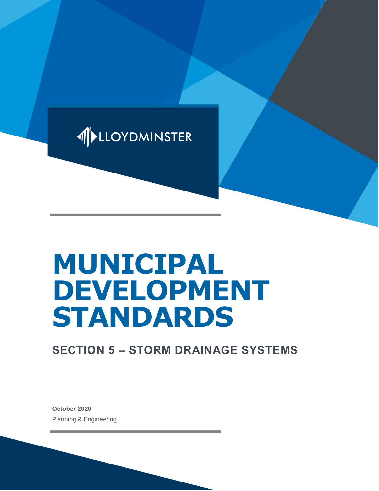

# **MUNICIPAL DEVELOPMENT STANDARDS**

# **SECTION 5 – STORM DRAINAGE SYSTEMS**

**October 2020** Planning & Engineering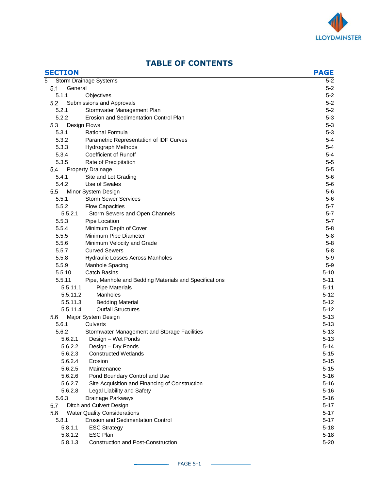

| <b>SECTION</b> |                                                        | <b>PAGE</b> |
|----------------|--------------------------------------------------------|-------------|
| 5              | Storm Drainage Systems                                 | $5 - 2$     |
| General<br>5.1 |                                                        | $5 - 2$     |
| 5.1.1          | Objectives                                             | $5 - 2$     |
| 5.2            | Submissions and Approvals                              | $5 - 2$     |
| 5.2.1          | Stormwater Management Plan                             | $5 - 2$     |
| 5.2.2          | Erosion and Sedimentation Control Plan                 | $5 - 3$     |
| 5.3            | Design Flows                                           | $5 - 3$     |
| 5.3.1          | <b>Rational Formula</b>                                | $5 - 3$     |
| 5.3.2          | Parametric Representation of IDF Curves                | $5-4$       |
| 5.3.3          | Hydrograph Methods                                     | $5-4$       |
| 5.3.4          | <b>Coefficient of Runoff</b>                           | $5 - 4$     |
| 5.3.5          | Rate of Precipitation                                  | $5-5$       |
| 5.4            | <b>Property Drainage</b>                               | $5-5$       |
| 5.4.1          | Site and Lot Grading                                   | $5-6$       |
| 5.4.2          | Use of Swales                                          | $5-6$       |
| 5.5            | Minor System Design                                    | $5-6$       |
| 5.5.1          | <b>Storm Sewer Services</b>                            | $5-6$       |
| 5.5.2          | <b>Flow Capacities</b>                                 | $5 - 7$     |
| 5.5.2.1        | Storm Sewers and Open Channels                         | $5 - 7$     |
| 5.5.3          | Pipe Location                                          | $5 - 7$     |
| 5.5.4          | Minimum Depth of Cover                                 | $5 - 8$     |
| 5.5.5          | Minimum Pipe Diameter                                  | $5 - 8$     |
| 5.5.6          | Minimum Velocity and Grade                             | $5 - 8$     |
| 5.5.7          | <b>Curved Sewers</b>                                   | $5 - 8$     |
| 5.5.8          | Hydraulic Losses Across Manholes                       | $5-9$       |
| 5.5.9          | Manhole Spacing                                        | $5-9$       |
| 5.5.10         | <b>Catch Basins</b>                                    | $5 - 10$    |
| 5.5.11         | Pipe, Manhole and Bedding Materials and Specifications | 5-11        |
| 5.5.11.1       | <b>Pipe Materials</b>                                  | $5 - 11$    |
| 5.5.11.2       | Manholes                                               | $5 - 12$    |
| 5.5.11.3       | <b>Bedding Material</b>                                | $5 - 12$    |
| 5.5.11.4       | <b>Outfall Structures</b>                              | $5 - 12$    |
| 5.6            | Major System Design                                    | $5 - 13$    |
| 5.6.1          | Culverts                                               | $5 - 13$    |
| 5.6.2          | Stormwater Management and Storage Facilities           | $5 - 13$    |
| 5.6.2.1        | Design - Wet Ponds                                     | $5 - 13$    |
| 5.6.2.2        | Design - Dry Ponds                                     | $5 - 14$    |
| 5.6.2.3        | <b>Constructed Wetlands</b>                            | 5-15        |
| 5.6.2.4        | Erosion                                                | $5 - 15$    |
| 5.6.2.5        | Maintenance                                            | $5 - 15$    |
| 5.6.2.6        | Pond Boundary Control and Use                          | $5 - 16$    |
| 5.6.2.7        | Site Acquisition and Financing of Construction         | $5 - 16$    |
| 5.6.2.8        | Legal Liability and Safety                             | $5 - 16$    |
| 5.6.3          | Drainage Parkways                                      | $5 - 16$    |
| 5.7            | Ditch and Culvert Design                               | $5 - 17$    |
| 5.8            | <b>Water Quality Considerations</b>                    | $5 - 17$    |
| 5.8.1          | <b>Erosion and Sedimentation Control</b>               | $5 - 17$    |
| 5.8.1.1        | <b>ESC Strategy</b>                                    | $5 - 18$    |
| 5.8.1.2        | <b>ESC Plan</b>                                        | $5 - 18$    |
| 5.8.1.3        | <b>Construction and Post-Construction</b>              | $5 - 20$    |

# **TABLE OF CONTENTS**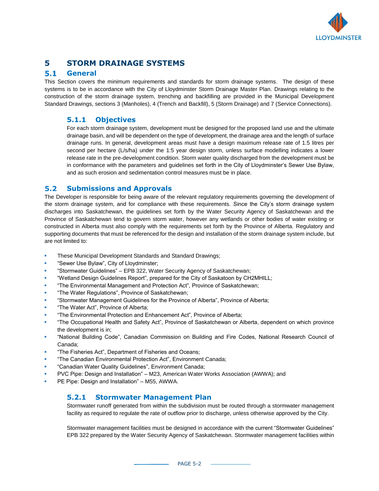

# **5 STORM DRAINAGE SYSTEMS**

#### $5.1$ **General**

This Section covers the minimum requirements and standards for storm drainage systems. The design of these systems is to be in accordance with the City of Lloydminster Storm Drainage Master Plan. Drawings relating to the construction of the storm drainage system, trenching and backfilling are provided in the Municipal Development Standard Drawings, sections 3 (Manholes), 4 (Trench and Backfill), 5 (Storm Drainage) and 7 (Service Connections).

#### **5.1.1 Objectives**

For each storm drainage system, development must be designed for the proposed land use and the ultimate drainage basin, and will be dependent on the type of development, the drainage area and the length of surface drainage runs. In general, development areas must have a design maximum release rate of 1.5 litres per second per hectare (L/s/ha) under the 1:5 year design storm, unless surface modelling indicates a lower release rate in the pre-development condition. Storm water quality discharged from the development must be in conformance with the parameters and guidelines set forth in the City of Lloydminster's Sewer Use Bylaw, and as such erosion and sedimentation control measures must be in place.

#### $5.2$ **Submissions and Approvals**

The Developer is responsible for being aware of the relevant regulatory requirements governing the development of the storm drainage system, and for compliance with these requirements. Since the City's storm drainage system discharges into Saskatchewan, the guidelines set forth by the Water Security Agency of Saskatchewan and the Province of Saskatchewan tend to govern storm water, however any wetlands or other bodies of water existing or constructed in Alberta must also comply with the requirements set forth by the Province of Alberta. Regulatory and supporting documents that must be referenced for the design and installation of the storm drainage system include, but are not limited to:

- These Municipal Development Standards and Standard Drawings;
- "Sewer Use Bylaw", City of Lloydminster;
- "Stormwater Guidelines" EPB 322, Water Security Agency of Saskatchewan;
- "Wetland Design Guidelines Report", prepared for the City of Saskatoon by CH2MHILL;
- "The Environmental Management and Protection Act", Province of Saskatchewan;
- "The Water Regulations", Province of Saskatchewan;
- "Stormwater Management Guidelines for the Province of Alberta", Province of Alberta;
- "The Water Act", Province of Alberta;
- "The Environmental Protection and Enhancement Act", Province of Alberta;
- "The Occupational Health and Safety Act", Province of Saskatchewan or Alberta, dependent on which province the development is in;
- "National Building Code", Canadian Commission on Building and Fire Codes, National Research Council of Canada;
- "The Fisheries Act", Department of Fisheries and Oceans;
- "The Canadian Environmental Protection Act", Environment Canada;
- "Canadian Water Quality Guidelines", Environment Canada;
- PVC Pipe: Design and Installation" M23, American Water Works Association (AWWA); and
- PE Pipe: Design and Installation" M55, AWWA.

## **5.2.1 Stormwater Management Plan**

Stormwater runoff generated from within the subdivision must be routed through a stormwater management facility as required to regulate the rate of outflow prior to discharge, unless otherwise approved by the City.

Stormwater management facilities must be designed in accordance with the current "Stormwater Guidelines" EPB 322 prepared by the Water Security Agency of Saskatchewan. Stormwater management facilities within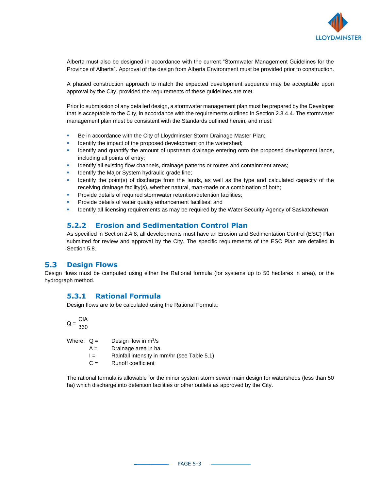

Alberta must also be designed in accordance with the current "Stormwater Management Guidelines for the Province of Alberta". Approval of the design from Alberta Environment must be provided prior to construction.

A phased construction approach to match the expected development sequence may be acceptable upon approval by the City, provided the requirements of these guidelines are met.

Prior to submission of any detailed design, a stormwater management plan must be prepared by the Developer that is acceptable to the City, in accordance with the requirements outlined in Section 2.3.4.4. The stormwater management plan must be consistent with the Standards outlined herein, and must:

- **Be in accordance with the City of Lloydminster Storm Drainage Master Plan;**
- Identify the impact of the proposed development on the watershed;
- Identify and quantify the amount of upstream drainage entering onto the proposed development lands, including all points of entry;
- Identify all existing flow channels, drainage patterns or routes and containment areas;
- Identify the Major System hydraulic grade line;
- Identify the point(s) of discharge from the lands, as well as the type and calculated capacity of the receiving drainage facility(s), whether natural, man-made or a combination of both;
- Provide details of required stormwater retention/detention facilities;
- Provide details of water quality enhancement facilities; and
- Identify all licensing requirements as may be required by the Water Security Agency of Saskatchewan.

#### **5.2.2 Erosion and Sedimentation Control Plan**

As specified in Section 2.4.8, all developments must have an Erosion and Sedimentation Control (ESC) Plan submitted for review and approval by the City. The specific requirements of the ESC Plan are detailed in Section 5.8.

#### $5.3$ **Design Flows**

Design flows must be computed using either the Rational formula (for systems up to 50 hectares in area), or the hydrograph method.

#### **5.3.1 Rational Formula**

Design flows are to be calculated using the Rational Formula:

$$
Q = \frac{CIA}{360}
$$

| Where: $Q =$ | Design flow in $m^3/s$ |
|--------------|------------------------|
|--------------|------------------------|

- $A =$  Drainage area in ha
- I = Rainfall intensity in mm/hr (see Table 5.1)
- $C =$  Runoff coefficient

The rational formula is allowable for the minor system storm sewer main design for watersheds (less than 50 ha) which discharge into detention facilities or other outlets as approved by the City.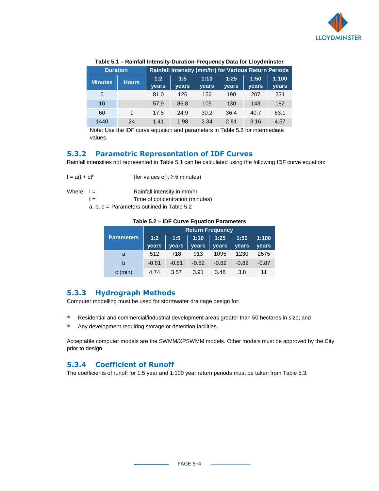

| <b>Duration</b> |              | <b>Rainfall Intensity (mm/hr) for Various Return Periods</b> |                     |                      |                      |                      |                |
|-----------------|--------------|--------------------------------------------------------------|---------------------|----------------------|----------------------|----------------------|----------------|
| <b>Minutes</b>  | <b>Hours</b> | 1:2<br><b>vears</b>                                          | 1:5<br><b>vears</b> | 1:10<br><b>vears</b> | 1:25<br><b>vears</b> | 1:50<br><b>vears</b> | 1:100<br>years |
| 5               |              | 81.0                                                         | 126                 | 152                  | 190                  | 207                  | 231            |
| 10              |              | 57.9                                                         | 86.8                | 105                  | 130                  | 143                  | 182            |
| 60              |              | 17.5                                                         | 24.9                | 30.2                 | 36.4                 | 40.7                 | 63.1           |
| 1440            | 24           | 1.41                                                         | 1.98                | 2.34                 | 2.81                 | 3.16                 | 4.57           |

#### **Table 5.1 – Rainfall Intensity-Duration-Frequency Data for Lloydminster**

Note: Use the IDF curve equation and parameters in Table 5.2 for intermediate values.

#### **5.3.2 Parametric Representation of IDF Curves**

Rainfall intensities not represented in Table 5.1 can be calculated using the following IDF curve equation:

| $I = a(t + c)^{b}$ | (for values of $t \geq 5$ minutes) |
|--------------------|------------------------------------|
|                    |                                    |

Where:  $I =$  Rainfall intensity in mm/hr

t = Time of concentration (minutes)

a, b, c = Parameters outlined in Table 5.2

#### **Table 5.2 – IDF Curve Equation Parameters**

|                   | <b>Return Frequency</b> |              |              |              |              |              |
|-------------------|-------------------------|--------------|--------------|--------------|--------------|--------------|
| <b>Parameters</b> | 1:2                     | 1:5          | 1:10         | 1:25         | 1:50         | 1:100        |
|                   | <b>vears</b>            | <b>vears</b> | <b>vears</b> | <b>vears</b> | <b>vears</b> | <b>vears</b> |
| a                 | 512                     | 718          | 913          | 1095         | 1230         | 2575         |
| b                 | $-0.81$                 | $-0.81$      | $-0.82$      | $-0.82$      | $-0.82$      | $-0.87$      |
| $c$ (min)         | 4.74                    | 3.57         | 3.91         | 3.48         | 3.8          | 11           |

#### **5.3.3 Hydrograph Methods**

Computer modelling must be used for stormwater drainage design for:

- **E** Residential and commercial/industrial development areas greater than 50 hectares in size; and
- **E** Any development requiring storage or detention facilities.

Acceptable computer models are the SWMM/XPSWMM models. Other models must be approved by the City prior to design.

#### **5.3.4 Coefficient of Runoff**

The coefficients of runoff for 1:5 year and 1:100 year return periods must be taken from Table 5.3: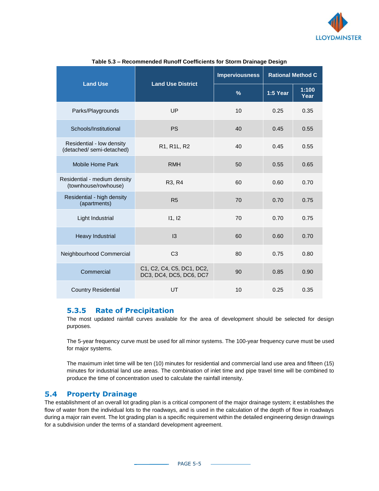

|                                                       |                                                      | <b>Imperviousness</b> | <b>Rational Method C</b> |               |
|-------------------------------------------------------|------------------------------------------------------|-----------------------|--------------------------|---------------|
| <b>Land Use</b><br><b>Land Use District</b>           |                                                      | $\%$                  | 1:5 Year                 | 1:100<br>Year |
| Parks/Playgrounds                                     | UP                                                   | 10                    | 0.25                     | 0.35          |
| Schools/Institutional                                 | <b>PS</b>                                            | 40                    | 0.45                     | 0.55          |
| Residential - low density<br>(detached/semi-detached) | R1, R1L, R2                                          | 40                    | 0.45                     | 0.55          |
| Mobile Home Park                                      | <b>RMH</b>                                           | 50                    | 0.55                     | 0.65          |
| Residential - medium density<br>(townhouse/rowhouse)  | R <sub>3</sub> , R <sub>4</sub>                      | 60                    | 0.60                     | 0.70          |
| Residential - high density<br>(apartments)            | R <sub>5</sub>                                       | 70                    | 0.70                     | 0.75          |
| Light Industrial                                      | 11, 12                                               | 70                    | 0.70                     | 0.75          |
| <b>Heavy Industrial</b>                               | $\overline{3}$                                       | 60                    | 0.60                     | 0.70          |
| Neighbourhood Commercial                              | C <sub>3</sub>                                       | 80                    | 0.75                     | 0.80          |
| Commercial                                            | C1, C2, C4, C5, DC1, DC2,<br>DC3, DC4, DC5, DC6, DC7 | 90                    | 0.85                     | 0.90          |
| <b>Country Residential</b>                            | UT                                                   | 10                    | 0.25                     | 0.35          |

#### **Table 5.3 – Recommended Runoff Coefficients for Storm Drainage Design**

#### **5.3.5 Rate of Precipitation**

The most updated rainfall curves available for the area of development should be selected for design purposes.

The 5-year frequency curve must be used for all minor systems. The 100-year frequency curve must be used for major systems.

The maximum inlet time will be ten (10) minutes for residential and commercial land use area and fifteen (15) minutes for industrial land use areas. The combination of inlet time and pipe travel time will be combined to produce the time of concentration used to calculate the rainfall intensity.

#### $5.4$ **Property Drainage**

The establishment of an overall lot grading plan is a critical component of the major drainage system; it establishes the flow of water from the individual lots to the roadways, and is used in the calculation of the depth of flow in roadways during a major rain event. The lot grading plan is a specific requirement within the detailed engineering design drawings for a subdivision under the terms of a standard development agreement.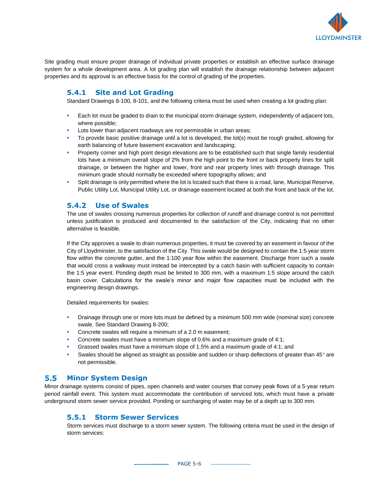

Site grading must ensure proper drainage of individual private properties or establish an effective surface drainage system for a whole development area. A lot grading plan will establish the drainage relationship between adjacent properties and its approval is an effective basis for the control of grading of the properties.

#### **5.4.1 Site and Lot Grading**

Standard Drawings 8-100, 8-101, and the following criteria must be used when creating a lot grading plan:

- **Each lot must be graded to drain to the municipal storm drainage system, independently of adjacent lots,** where possible;
- Lots lower than adjacent roadways are not permissible in urban areas;
- To provide basic positive drainage until a lot is developed, the lot(s) must be rough graded, allowing for earth balancing of future basement excavation and landscaping;
- **•** Property corner and high point design elevations are to be established such that single family residential lots have a minimum overall slope of 2% from the high point to the front or back property lines for split drainage, or between the higher and lower, front and rear property lines with through drainage. This minimum grade should normally be exceeded where topography allows; and
- **•** Split drainage is only permitted where the lot is located such that there is a road, lane, Municipal Reserve, Public Utility Lot, Municipal Utility Lot, or drainage easement located at both the front and back of the lot.

#### **5.4.2 Use of Swales**

The use of swales crossing numerous properties for collection of runoff and drainage control is not permitted unless justification is produced and documented to the satisfaction of the City, indicating that no other alternative is feasible.

If the City approves a swale to drain numerous properties, it must be covered by an easement in favour of the City of Lloydminster, to the satisfaction of the City. This swale would be designed to contain the 1:5 year storm flow within the concrete gutter, and the 1:100 year flow within the easement. Discharge from such a swale that would cross a walkway must instead be intercepted by a catch basin with sufficient capacity to contain the 1:5 year event. Ponding depth must be limited to 300 mm, with a maximum 1:5 slope around the catch basin cover. Calculations for the swale's minor and major flow capacities must be included with the engineering design drawings.

Detailed requirements for swales:

- **•** Drainage through one or more lots must be defined by a minimum 500 mm wide (nominal size) concrete swale. See Standard Drawing 8-200;
- Concrete swales will require a minimum of a 2.0 m easement;
- Concrete swales must have a minimum slope of 0.6% and a maximum grade of 4:1;
- Grassed swales must have a minimum slope of 1.5% and a maximum grade of 4:1; and
- Swales should be aligned as straight as possible and sudden or sharp deflections of greater than  $45^\circ$  are not permissible.

#### $5.5$ **Minor System Design**

Minor drainage systems consist of pipes, open channels and water courses that convey peak flows of a 5-year return period rainfall event. This system must accommodate the contribution of serviced lots, which must have a private underground storm sewer service provided. Ponding or surcharging of water may be of a depth up to 300 mm.

#### **5.5.1 Storm Sewer Services**

Storm services must discharge to a storm sewer system. The following criteria must be used in the design of storm services: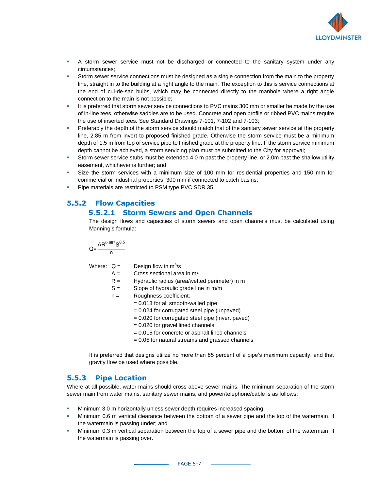

- **•** A storm sewer service must not be discharged or connected to the sanitary system under any circumstances;
- Storm sewer service connections must be designed as a single connection from the main to the property line, straight in to the building at a right angle to the main. The exception to this is service connections at the end of cul-de-sac bulbs, which may be connected directly to the manhole where a right angle connection to the main is not possible;
- It is preferred that storm sewer service connections to PVC mains 300 mm or smaller be made by the use of in-line tees, otherwise saddles are to be used. Concrete and open profile or ribbed PVC mains require the use of inserted tees. See Standard Drawings 7-101, 7-102 and 7-103;
- **•** Preferably the depth of the storm service should match that of the sanitary sewer service at the property line, 2.85 m from invert to proposed finished grade. Otherwise the storm service must be a minimum depth of 1.5 m from top of service pipe to finished grade at the property line. If the storm service minimum depth cannot be achieved, a storm servicing plan must be submitted to the City for approval;
- **•** Storm sewer service stubs must be extended 4.0 m past the property line, or 2.0m past the shallow utility easement, whichever is further; and
- **EXECT** Size the storm services with a minimum size of 100 mm for residential properties and 150 mm for commercial or industrial properties, 300 mm if connected to catch basins;
- **Pipe materials are restricted to PSM type PVC SDR 35.**

# **5.5.2 Flow Capacities**

#### **5.5.2.1 Storm Sewers and Open Channels**

The design flows and capacities of storm sewers and open channels must be calculated using Manning's formula:

$$
Q = \frac{AR^{0.667}S^{0.5}}{n}
$$

Where:  $Q =$  Design flow in  $m^3/s$ 

- $A =$  Cross sectional area in m<sup>2</sup>
- $R =$  Hydraulic radius (area/wetted perimeter) in m
- $S =$  Slope of hydraulic grade line in m/m
- n = Roughness coefficient:
	- = 0.013 for all smooth-walled pipe
		- = 0.024 for corrugated steel pipe (unpaved)
		- = 0.020 for corrugated steel pipe (invert paved)
		- $= 0.020$  for gravel lined channels
		- = 0.015 for concrete or asphalt lined channels
		- = 0.05 for natural streams and grassed channels

It is preferred that designs utilize no more than 85 percent of a pipe's maximum capacity, and that gravity flow be used where possible.

## **5.5.3 Pipe Location**

Where at all possible, water mains should cross above sewer mains. The minimum separation of the storm sewer main from water mains, sanitary sewer mains, and power/telephone/cable is as follows:

- Minimum 3.0 m horizontally unless sewer depth requires increased spacing;
- Minimum 0.6 m vertical clearance between the bottom of a sewer pipe and the top of the watermain, if the watermain is passing under; and
- **■** Minimum 0.3 m vertical separation between the top of a sewer pipe and the bottom of the watermain, if the watermain is passing over.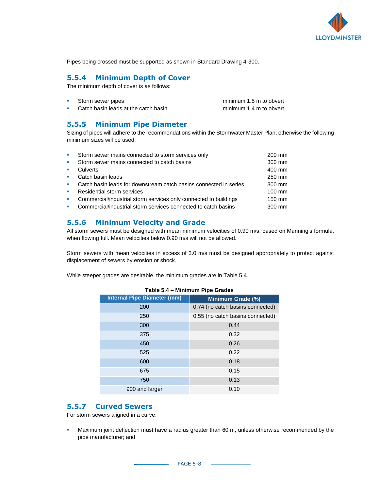

Pipes being crossed must be supported as shown in Standard Drawing 4-300.

#### **5.5.4 Minimum Depth of Cover**

The minimum depth of cover is as follows:

| Storm sewer pipes                    | minimum 1.5 m to obvert |
|--------------------------------------|-------------------------|
| Catch basin leads at the catch basin | minimum 1.4 m to obvert |

#### **5.5.5 Minimum Pipe Diameter**

Sizing of pipes will adhere to the recommendations within the Stormwater Master Plan; otherwise the following minimum sizes will be used:

|                          | Storm sewer mains connected to storm services only                | 200 mm |
|--------------------------|-------------------------------------------------------------------|--------|
| <b>CONTRACTOR</b>        | Storm sewer mains connected to catch basins                       | 300 mm |
| $\mathcal{L}_{\rm{max}}$ | Culverts                                                          | 400 mm |
| <b>CONTRACTOR</b>        | Catch basin leads                                                 | 250 mm |
| <b>CONTRACTOR</b>        | Catch basin leads for downstream catch basins connected in series | 300 mm |
| <b>Contract</b>          | Residential storm services                                        | 100 mm |
| $\mathcal{L}_{\rm{max}}$ | Commercial/industrial storm services only connected to buildings  | 150 mm |
|                          | Commercial/industrial storm services connected to catch basins    | 300 mm |
|                          |                                                                   |        |

#### **5.5.6 Minimum Velocity and Grade**

All storm sewers must be designed with mean minimum velocities of 0.90 m/s, based on Manning's formula, when flowing full. Mean velocities below 0.90 m/s will not be allowed.

Storm sewers with mean velocities in excess of 3.0 m/s must be designed appropriately to protect against displacement of sewers by erosion or shock.

While steeper grades are desirable, the minimum grades are in Table 5.4.

| <b>Internal Pipe Diameter (mm)</b> | Minimum Grade (%)                |
|------------------------------------|----------------------------------|
| 200                                | 0.74 (no catch basins connected) |
| 250                                | 0.55 (no catch basins connected) |
| 300                                | 0.44                             |
| 375                                | 0.32                             |
| 450                                | 0.26                             |
| 525                                | 0.22                             |
| 600                                | 0.18                             |
| 675                                | 0.15                             |
| 750                                | 0.13                             |
| 900 and larger                     | 0.10                             |

#### **Table 5.4 – Minimum Pipe Grades**

#### **5.5.7 Curved Sewers**

For storm sewers aligned in a curve:

**■** Maximum joint deflection must have a radius greater than 60 m, unless otherwise recommended by the pipe manufacturer; and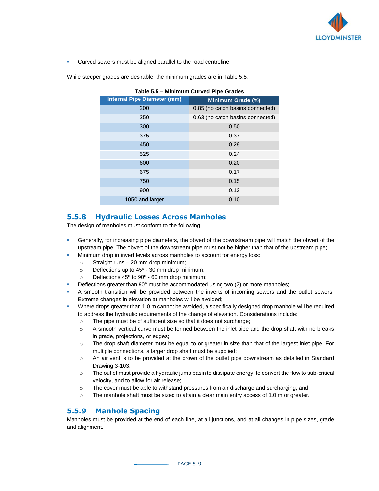

▪ Curved sewers must be aligned parallel to the road centreline.

While steeper grades are desirable, the minimum grades are in Table 5.5.

| Table 5.5 - Minimum Curved Pipe Grades |                                  |  |  |
|----------------------------------------|----------------------------------|--|--|
| <b>Internal Pipe Diameter (mm)</b>     | Minimum Grade (%)                |  |  |
| 200                                    | 0.85 (no catch basins connected) |  |  |
| 250                                    | 0.63 (no catch basins connected) |  |  |
| 300                                    | 0.50                             |  |  |
| 375                                    | 0.37                             |  |  |
| 450                                    | 0.29                             |  |  |
| 525                                    | 0.24                             |  |  |
| 600                                    | 0.20                             |  |  |
| 675                                    | 0.17                             |  |  |
| 750                                    | 0.15                             |  |  |
| 900                                    | 0.12                             |  |  |
| 1050 and larger                        | 0.10                             |  |  |

**5.5.8 Hydraulic Losses Across Manholes**

The design of manholes must conform to the following:

- **•** Generally, for increasing pipe diameters, the obvert of the downstream pipe will match the obvert of the upstream pipe. The obvert of the downstream pipe must not be higher than that of the upstream pipe;
- Minimum drop in invert levels across manholes to account for energy loss:
	- $\circ$  Straight runs 20 mm drop minimum;
	- $\circ$  Deflections up to 45 $\circ$  30 mm drop minimum;
	- $\circ$  Deflections 45° to 90° 60 mm drop minimum;
- Deflections greater than 90° must be accommodated using two (2) or more manholes;
- A smooth transition will be provided between the inverts of incoming sewers and the outlet sewers. Extreme changes in elevation at manholes will be avoided;
- Where drops greater than 1.0 m cannot be avoided, a specifically designed drop manhole will be required to address the hydraulic requirements of the change of elevation. Considerations include:
	- o The pipe must be of sufficient size so that it does not surcharge;
	- $\circ$  A smooth vertical curve must be formed between the inlet pipe and the drop shaft with no breaks in grade, projections, or edges;
	- $\circ$  The drop shaft diameter must be equal to or greater in size than that of the largest inlet pipe. For multiple connections, a larger drop shaft must be supplied;
	- o An air vent is to be provided at the crown of the outlet pipe downstream as detailed in Standard Drawing 3-103.
	- o The outlet must provide a hydraulic jump basin to dissipate energy, to convert the flow to sub-critical velocity, and to allow for air release;
	- $\circ$  The cover must be able to withstand pressures from air discharge and surcharging; and
	- o The manhole shaft must be sized to attain a clear main entry access of 1.0 m or greater.

#### **5.5.9 Manhole Spacing**

Manholes must be provided at the end of each line, at all junctions, and at all changes in pipe sizes, grade and alignment.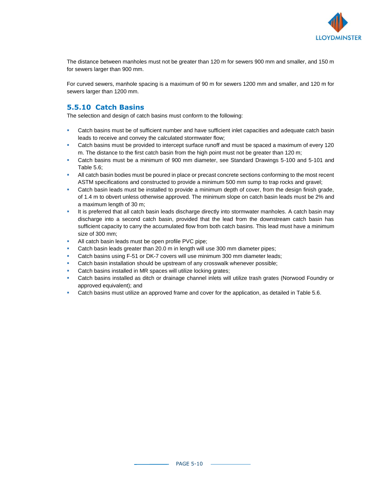

The distance between manholes must not be greater than 120 m for sewers 900 mm and smaller, and 150 m for sewers larger than 900 mm.

For curved sewers, manhole spacing is a maximum of 90 m for sewers 1200 mm and smaller, and 120 m for sewers larger than 1200 mm.

## **5.5.10 Catch Basins**

The selection and design of catch basins must conform to the following:

- **•** Catch basins must be of sufficient number and have sufficient inlet capacities and adequate catch basin leads to receive and convey the calculated stormwater flow;
- **•** Catch basins must be provided to intercept surface runoff and must be spaced a maximum of every 120 m. The distance to the first catch basin from the high point must not be greater than 120 m;
- Catch basins must be a minimum of 900 mm diameter, see Standard Drawings 5-100 and 5-101 and Table 5.6;
- All catch basin bodies must be poured in place or precast concrete sections conforming to the most recent ASTM specifications and constructed to provide a minimum 500 mm sump to trap rocks and gravel;
- **•** Catch basin leads must be installed to provide a minimum depth of cover, from the design finish grade, of 1.4 m to obvert unless otherwise approved. The minimum slope on catch basin leads must be 2% and a maximum length of 30 m;
- **EXECT It is preferred that all catch basin leads discharge directly into stormwater manholes. A catch basin may** discharge into a second catch basin, provided that the lead from the downstream catch basin has sufficient capacity to carry the accumulated flow from both catch basins. This lead must have a minimum size of 300 mm;
- All catch basin leads must be open profile PVC pipe;
- Catch basin leads greater than 20.0 m in length will use 300 mm diameter pipes;
- Catch basins using F-51 or DK-7 covers will use minimum 300 mm diameter leads;
- Catch basin installation should be upstream of any crosswalk whenever possible;
- Catch basins installed in MR spaces will utilize locking grates;
- Catch basins installed as ditch or drainage channel inlets will utilize trash grates (Norwood Foundry or approved equivalent); and
- Catch basins must utilize an approved frame and cover for the application, as detailed in Table 5.6.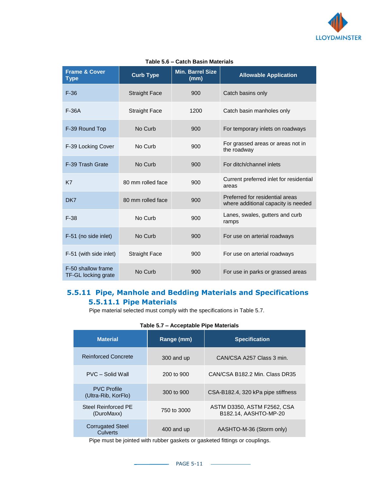

| <b>Frame &amp; Cover</b><br>Type          | <b>Curb Type</b>     | <b>Min. Barrel Size</b><br>(mm) | <b>Allowable Application</b>                                           |
|-------------------------------------------|----------------------|---------------------------------|------------------------------------------------------------------------|
| $F-36$                                    | <b>Straight Face</b> | 900                             | Catch basins only                                                      |
| $F-36A$                                   | <b>Straight Face</b> | 1200                            | Catch basin manholes only                                              |
| F-39 Round Top                            | No Curb              | 900                             | For temporary inlets on roadways                                       |
| F-39 Locking Cover                        | No Curb              | 900                             | For grassed areas or areas not in<br>the roadway                       |
| F-39 Trash Grate                          | No Curb              | 900                             | For ditch/channel inlets                                               |
| K7                                        | 80 mm rolled face    | 900                             | Current preferred inlet for residential<br>areas                       |
| DK7                                       | 80 mm rolled face    | 900                             | Preferred for residential areas<br>where additional capacity is needed |
| $F-38$                                    | No Curb              | 900                             | Lanes, swales, gutters and curb<br>ramps                               |
| F-51 (no side inlet)                      | No Curb              | 900                             | For use on arterial roadways                                           |
| F-51 (with side inlet)                    | <b>Straight Face</b> | 900                             | For use on arterial roadways                                           |
| F-50 shallow frame<br>TF-GL locking grate | No Curb              | 900                             | For use in parks or grassed areas                                      |

#### **Table 5.6 – Catch Basin Materials**

## **5.5.11 Pipe, Manhole and Bedding Materials and Specifications 5.5.11.1 Pipe Materials**

Pipe material selected must comply with the specifications in Table 5.7.

|  |  | Table 5.7 - Acceptable Pipe Materials |
|--|--|---------------------------------------|
|--|--|---------------------------------------|

| <b>Material</b>                            | Range (mm)  | <b>Specification</b>                                 |
|--------------------------------------------|-------------|------------------------------------------------------|
| <b>Reinforced Concrete</b>                 | 300 and up  | CAN/CSA A257 Class 3 min.                            |
| PVC - Solid Wall                           | 200 to 900  | CAN/CSA B182.2 Min. Class DR35                       |
| <b>PVC Profile</b><br>(Ultra-Rib, KorFlo)  | 300 to 900  | CSA-B182.4, 320 kPa pipe stiffness                   |
| Steel Reinforced PE<br>(DuroMaxx)          | 750 to 3000 | ASTM D3350, ASTM F2562, CSA<br>B182.14. AASHTO-MP-20 |
| <b>Corrugated Steel</b><br><b>Culverts</b> | 400 and up  | AASHTO-M-36 (Storm only)                             |

Pipe must be jointed with rubber gaskets or gasketed fittings or couplings.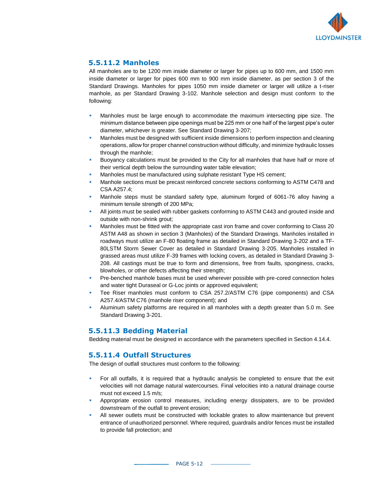

## **5.5.11.2 Manholes**

All manholes are to be 1200 mm inside diameter or larger for pipes up to 600 mm, and 1500 mm inside diameter or larger for pipes 600 mm to 900 mm inside diameter, as per section 3 of the Standard Drawings. Manholes for pipes 1050 mm inside diameter or larger will utilize a t-riser manhole, as per Standard Drawing 3-102. Manhole selection and design must conform to the following:

- Manholes must be large enough to accommodate the maximum intersecting pipe size. The minimum distance between pipe openings must be 225 mm or one half of the largest pipe's outer diameter, whichever is greater. See Standard Drawing 3-207;
- Manholes must be designed with sufficient inside dimensions to perform inspection and cleaning operations, allow for proper channel construction without difficulty, and minimize hydraulic losses through the manhole;
- Buoyancy calculations must be provided to the City for all manholes that have half or more of their vertical depth below the surrounding water table elevation;
- Manholes must be manufactured using sulphate resistant Type HS cement;
- Manhole sections must be precast reinforced concrete sections conforming to ASTM C478 and CSA A257.4;
- **■** Manhole steps must be standard safety type, aluminum forged of 6061-76 alloy having a minimum tensile strength of 200 MPa;
- All joints must be sealed with rubber gaskets conforming to ASTM C443 and grouted inside and outside with non-shrink grout;
- Manholes must be fitted with the appropriate cast iron frame and cover conforming to Class 20 ASTM A48 as shown in section 3 (Manholes) of the Standard Drawings. Manholes installed in roadways must utilize an F-80 floating frame as detailed in Standard Drawing 3-202 and a TF-80LSTM Storm Sewer Cover as detailed in Standard Drawing 3-205. Manholes installed in grassed areas must utilize F-39 frames with locking covers, as detailed in Standard Drawing 3- 208. All castings must be true to form and dimensions, free from faults, sponginess, cracks, blowholes, or other defects affecting their strength;
- Pre-benched manhole bases must be used wherever possible with pre-cored connection holes and water tight Duraseal or G-Loc joints or approved equivalent;
- Tee Riser manholes must conform to CSA 257.2/ASTM C76 (pipe components) and CSA A257.4/ASTM C76 (manhole riser component); and
- Aluminum safety platforms are required in all manholes with a depth greater than 5.0 m. See Standard Drawing 3-201.

## **5.5.11.3 Bedding Material**

Bedding material must be designed in accordance with the parameters specified in Section 4.14.4.

#### **5.5.11.4 Outfall Structures**

The design of outfall structures must conform to the following:

- For all outfalls, it is required that a hydraulic analysis be completed to ensure that the exit velocities will not damage natural watercourses. Final velocities into a natural drainage course must not exceed 1.5 m/s;
- Appropriate erosion control measures, including energy dissipaters, are to be provided downstream of the outfall to prevent erosion;
- All sewer outlets must be constructed with lockable grates to allow maintenance but prevent entrance of unauthorized personnel. Where required, guardrails and/or fences must be installed to provide fall protection; and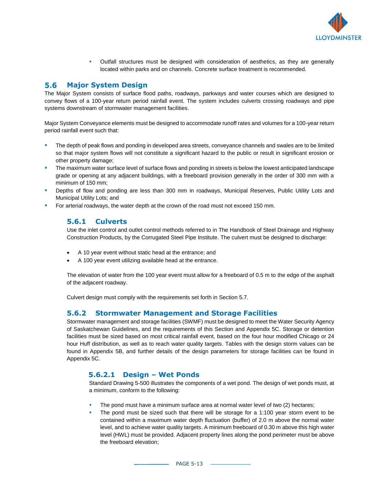

**•** Outfall structures must be designed with consideration of aesthetics, as they are generally located within parks and on channels. Concrete surface treatment is recommended.

#### 5.6 **Major System Design**

The Major System consists of surface flood paths, roadways, parkways and water courses which are designed to convey flows of a 100-year return period rainfall event. The system includes culverts crossing roadways and pipe systems downstream of stormwater management facilities.

Major System Conveyance elements must be designed to accommodate runoff rates and volumes for a 100-year return period rainfall event such that:

- The depth of peak flows and ponding in developed area streets, conveyance channels and swales are to be limited so that major system flows will not constitute a significant hazard to the public or result in significant erosion or other property damage;
- The maximum water surface level of surface flows and ponding in streets is below the lowest anticipated landscape grade or opening at any adjacent buildings, with a freeboard provision generally in the order of 300 mm with a minimum of 150 mm;
- Depths of flow and ponding are less than 300 mm in roadways, Municipal Reserves, Public Utility Lots and Municipal Utility Lots; and
- For arterial roadways, the water depth at the crown of the road must not exceed 150 mm.

#### **5.6.1 Culverts**

Use the inlet control and outlet control methods referred to in The Handbook of Steel Drainage and Highway Construction Products, by the Corrugated Steel Pipe Institute. The culvert must be designed to discharge:

- A 10 year event without static head at the entrance; and
- A 100 year event utilizing available head at the entrance.

The elevation of water from the 100 year event must allow for a freeboard of 0.5 m to the edge of the asphalt of the adjacent roadway.

Culvert design must comply with the requirements set forth in Section 5.7.

#### **5.6.2 Stormwater Management and Storage Facilities**

Stormwater management and storage facilities (SWMF) must be designed to meet the Water Security Agency of Saskatchewan Guidelines, and the requirements of this Section and Appendix 5C. Storage or detention facilities must be sized based on most critical rainfall event, based on the four hour modified Chicago or 24 hour Huff distribution, as well as to reach water quality targets. Tables with the design storm values can be found in Appendix 5B, and further details of the design parameters for storage facilities can be found in Appendix 5C.

#### **5.6.2.1 Design – Wet Ponds**

Standard Drawing 5-500 illustrates the components of a wet pond. The design of wet ponds must, at a minimum, conform to the following:

- The pond must have a minimum surface area at normal water level of two (2) hectares;
- The pond must be sized such that there will be storage for a 1:100 year storm event to be contained within a maximum water depth fluctuation (buffer) of 2.0 m above the normal water level, and to achieve water quality targets. A minimum freeboard of 0.30 m above this high water level (HWL) must be provided. Adjacent property lines along the pond perimeter must be above the freeboard elevation;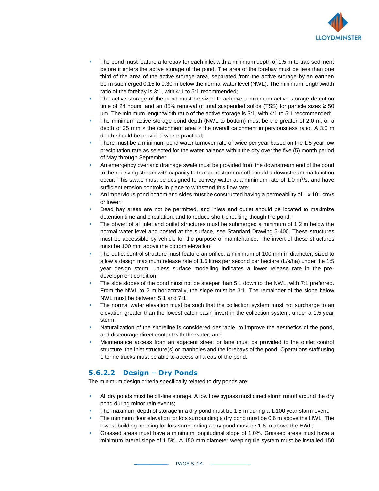

- The pond must feature a forebay for each inlet with a minimum depth of 1.5 m to trap sediment before it enters the active storage of the pond. The area of the forebay must be less than one third of the area of the active storage area, separated from the active storage by an earthen berm submerged 0.15 to 0.30 m below the normal water level (NWL). The minimum length:width ratio of the forebay is 3:1, with 4:1 to 5:1 recommended;
- The active storage of the pond must be sized to achieve a minimum active storage detention time of 24 hours, and an 85% removal of total suspended solids (TSS) for particle sizes  $\ge$  50 µm. The minimum length:width ratio of the active storage is 3:1, with 4:1 to 5:1 recommended;
- The minimum active storage pond depth (NWL to bottom) must be the greater of 2.0 m, or a depth of 25 mm  $\times$  the catchment area  $\times$  the overall catchment imperviousness ratio. A 3.0 m depth should be provided where practical;
- There must be a minimum pond water turnover rate of twice per year based on the 1:5 year low precipitation rate as selected for the water balance within the city over the five (5) month period of May through September;
- An emergency overland drainage swale must be provided from the downstream end of the pond to the receiving stream with capacity to transport storm runoff should a downstream malfunction occur. This swale must be designed to convey water at a minimum rate of 1.0  $\mathrm{m}^3$ /s, and have sufficient erosion controls in place to withstand this flow rate;
- An impervious pond bottom and sides must be constructed having a permeability of 1 x 10 $\textdegree$  cm/s or lower;
- Dead bay areas are not be permitted, and inlets and outlet should be located to maximize detention time and circulation, and to reduce short-circuiting though the pond;
- The obvert of all inlet and outlet structures must be submerged a minimum of 1.2 m below the normal water level and posted at the surface, see Standard Drawing 5-400. These structures must be accessible by vehicle for the purpose of maintenance. The invert of these structures must be 100 mm above the bottom elevation;
- The outlet control structure must feature an orifice, a minimum of 100 mm in diameter, sized to allow a design maximum release rate of 1.5 litres per second per hectare (L/s/ha) under the 1:5 year design storm, unless surface modelling indicates a lower release rate in the predevelopment condition;
- The side slopes of the pond must not be steeper than 5:1 down to the NWL, with 7:1 preferred. From the NWL to 2 m horizontally, the slope must be 3:1. The remainder of the slope below NWL must be between 5:1 and 7:1;
- The normal water elevation must be such that the collection system must not surcharge to an elevation greater than the lowest catch basin invert in the collection system, under a 1:5 year storm;
- Naturalization of the shoreline is considered desirable, to improve the aesthetics of the pond, and discourage direct contact with the water; and
- Maintenance access from an adjacent street or lane must be provided to the outlet control structure, the inlet structure(s) or manholes and the forebays of the pond. Operations staff using 1 tonne trucks must be able to access all areas of the pond.

## **5.6.2.2 Design – Dry Ponds**

The minimum design criteria specifically related to dry ponds are:

- All dry ponds must be off-line storage. A low flow bypass must direct storm runoff around the dry pond during minor rain events;
- The maximum depth of storage in a dry pond must be 1.5 m during a 1:100 year storm event;
- The minimum floor elevation for lots surrounding a dry pond must be 0.6 m above the HWL. The lowest building opening for lots surrounding a dry pond must be 1.6 m above the HWL;
- Grassed areas must have a minimum longitudinal slope of 1.0%. Grassed areas must have a minimum lateral slope of 1.5%. A 150 mm diameter weeping tile system must be installed 150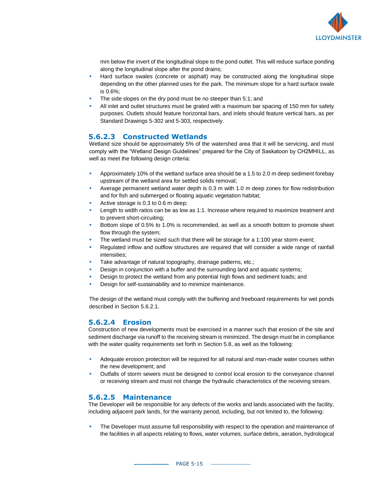

mm below the invert of the longitudinal slope to the pond outlet. This will reduce surface ponding along the longitudinal slope after the pond drains;

- **EXECUTE:** Hard surface swales (concrete or asphalt) may be constructed along the longitudinal slope depending on the other planned uses for the park. The minimum slope for a hard surface swale is 0.6%;
- The side slopes on the dry pond must be no steeper than 5:1; and
- All inlet and outlet structures must be grated with a maximum bar spacing of 150 mm for safety purposes. Outlets should feature horizontal bars, and inlets should feature vertical bars, as per Standard Drawings 5-302 and 5-303, respectively.

#### **5.6.2.3 Constructed Wetlands**

Wetland size should be approximately 5% of the watershed area that it will be servicing, and must comply with the "Wetland Design Guidelines" prepared for the City of Saskatoon by CH2MHILL, as well as meet the following design criteria:

- Approximately 10% of the wetland surface area should be a 1.5 to 2.0 m deep sediment forebay upstream of the wetland area for settled solids removal;
- Average permanent wetland water depth is 0.3 m with 1.0 m deep zones for flow redistribution and for fish and submerged or floating aquatic vegetation habitat;
- Active storage is  $0.3$  to  $0.6$  m deep:
- Length to width ratios can be as low as 1:1. Increase where required to maximize treatment and to prevent short-circuiting;
- Bottom slope of 0.5% to 1.0% is recommended, as well as a smooth bottom to promote sheet flow through the system;
- The wetland must be sized such that there will be storage for a 1:100 year storm event;
- Regulated inflow and outflow structures are required that will consider a wide range of rainfall intensities;
- Take advantage of natural topography, drainage patterns, etc.;
- Design in conjunction with a buffer and the surrounding land and aquatic systems;
- Design to protect the wetland from any potential high flows and sediment loads; and
- Design for self-sustainability and to minimize maintenance.

The design of the wetland must comply with the buffering and freeboard requirements for wet ponds described in Section 5.6.2.1.

#### **5.6.2.4 Erosion**

Construction of new developments must be exercised in a manner such that erosion of the site and sediment discharge via runoff to the receiving stream is minimized. The design must be in compliance with the water quality requirements set forth in Section 5.8, as well as the following:

- Adequate erosion protection will be required for all natural and man-made water courses within the new development; and
- **•** Outfalls of storm sewers must be designed to control local erosion to the conveyance channel or receiving stream and must not change the hydraulic characteristics of the receiving stream.

#### **5.6.2.5 Maintenance**

The Developer will be responsible for any defects of the works and lands associated with the facility, including adjacent park lands, for the warranty period, including, but not limited to, the following:

The Developer must assume full responsibility with respect to the operation and maintenance of the facilities in all aspects relating to flows, water volumes, surface debris, aeration, hydrological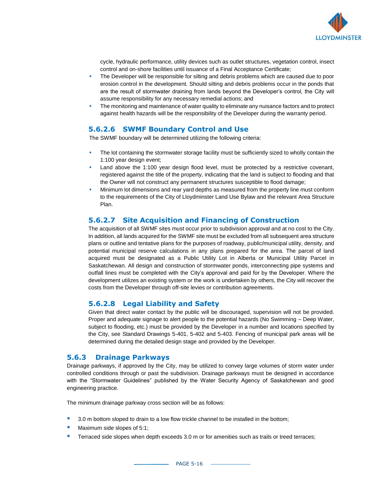

cycle, hydraulic performance, utility devices such as outlet structures, vegetation control, insect control and on-shore facilities until issuance of a Final Acceptance Certificate;

- **•** The Developer will be responsible for silting and debris problems which are caused due to poor erosion control in the development. Should silting and debris problems occur in the ponds that are the result of stormwater draining from lands beyond the Developer's control, the City will assume responsibility for any necessary remedial actions; and
- The monitoring and maintenance of water quality to eliminate any nuisance factors and to protect against health hazards will be the responsibility of the Developer during the warranty period.

#### **5.6.2.6 SWMF Boundary Control and Use**

The SWMF boundary will be determined utilizing the following criteria:

- The lot containing the stormwater storage facility must be sufficiently sized to wholly contain the 1:100 year design event;
- Land above the 1:100 year design flood level, must be protected by a restrictive covenant, registered against the title of the property, indicating that the land is subject to flooding and that the Owner will not construct any permanent structures susceptible to flood damage;
- Minimum lot dimensions and rear yard depths as measured from the property line must conform to the requirements of the City of Lloydminster Land Use Bylaw and the relevant Area Structure Plan.

#### **5.6.2.7 Site Acquisition and Financing of Construction**

The acquisition of all SWMF sites must occur prior to subdivision approval and at no cost to the City. In addition, all lands acquired for the SWMF site must be excluded from all subsequent area structure plans or outline and tentative plans for the purposes of roadway, public/municipal utility, density, and potential municipal reserve calculations in any plans prepared for the area. The parcel of land acquired must be designated as a Public Utility Lot in Alberta or Municipal Utility Parcel in Saskatchewan. All design and construction of stormwater ponds, interconnecting pipe systems and outfall lines must be completed with the City's approval and paid for by the Developer. Where the development utilizes an existing system or the work is undertaken by others, the City will recover the costs from the Developer through off-site levies or contribution agreements.

#### **5.6.2.8 Legal Liability and Safety**

Given that direct water contact by the public will be discouraged, supervision will not be provided. Proper and adequate signage to alert people to the potential hazards (No Swimming – Deep Water, subject to flooding, etc.) must be provided by the Developer in a number and locations specified by the City, see Standard Drawings 5-401, 5-402 and 5-403. Fencing of municipal park areas will be determined during the detailed design stage and provided by the Developer.

#### **5.6.3 Drainage Parkways**

Drainage parkways, if approved by the City, may be utilized to convey large volumes of storm water under controlled conditions through or past the subdivision. Drainage parkways must be designed in accordance with the "Stormwater Guidelines" published by the Water Security Agency of Saskatchewan and good engineering practice.

The minimum drainage parkway cross section will be as follows:

- 3.0 m bottom sloped to drain to a low flow trickle channel to be installed in the bottom;
- Maximum side slopes of 5:1;
- **E** Terraced side slopes when depth exceeds 3.0 m or for amenities such as trails or treed terraces;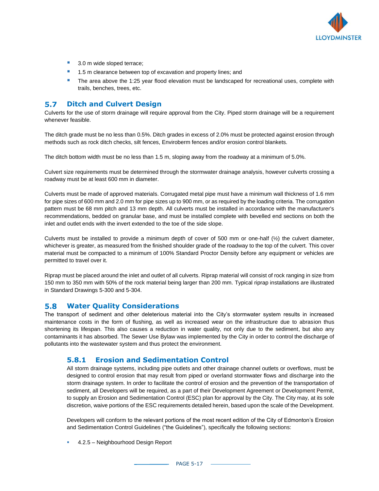

- 3.0 m wide sloped terrace;
- 1.5 m clearance between top of excavation and property lines; and
- **•** The area above the 1:25 year flood elevation must be landscaped for recreational uses, complete with trails, benches, trees, etc.

#### $5.7$ **Ditch and Culvert Design**

Culverts for the use of storm drainage will require approval from the City. Piped storm drainage will be a requirement whenever feasible.

The ditch grade must be no less than 0.5%. Ditch grades in excess of 2.0% must be protected against erosion through methods such as rock ditch checks, silt fences, Enviroberm fences and/or erosion control blankets.

The ditch bottom width must be no less than 1.5 m, sloping away from the roadway at a minimum of 5.0%.

Culvert size requirements must be determined through the stormwater drainage analysis, however culverts crossing a roadway must be at least 600 mm in diameter.

Culverts must be made of approved materials. Corrugated metal pipe must have a minimum wall thickness of 1.6 mm for pipe sizes of 600 mm and 2.0 mm for pipe sizes up to 900 mm, or as required by the loading criteria. The corrugation pattern must be 68 mm pitch and 13 mm depth. All culverts must be installed in accordance with the manufacturer's recommendations, bedded on granular base, and must be installed complete with bevelled end sections on both the inlet and outlet ends with the invert extended to the toe of the side slope.

Culverts must be installed to provide a minimum depth of cover of 500 mm or one-half  $(\frac{1}{2})$  the culvert diameter, whichever is greater, as measured from the finished shoulder grade of the roadway to the top of the culvert. This cover material must be compacted to a minimum of 100% Standard Proctor Density before any equipment or vehicles are permitted to travel over it.

Riprap must be placed around the inlet and outlet of all culverts. Riprap material will consist of rock ranging in size from 150 mm to 350 mm with 50% of the rock material being larger than 200 mm. Typical riprap installations are illustrated in Standard Drawings 5-300 and 5-304.

#### $5.8$ **Water Quality Considerations**

The transport of sediment and other deleterious material into the City's stormwater system results in increased maintenance costs in the form of flushing, as well as increased wear on the infrastructure due to abrasion thus shortening its lifespan. This also causes a reduction in water quality, not only due to the sediment, but also any contaminants it has absorbed. The Sewer Use Bylaw was implemented by the City in order to control the discharge of pollutants into the wastewater system and thus protect the environment.

#### **5.8.1 Erosion and Sedimentation Control**

All storm drainage systems, including pipe outlets and other drainage channel outlets or overflows, must be designed to control erosion that may result from piped or overland stormwater flows and discharge into the storm drainage system. In order to facilitate the control of erosion and the prevention of the transportation of sediment, all Developers will be required, as a part of their Development Agreement or Development Permit, to supply an Erosion and Sedimentation Control (ESC) plan for approval by the City. The City may, at its sole discretion, waive portions of the ESC requirements detailed herein, based upon the scale of the Development.

Developers will conform to the relevant portions of the most recent edition of the City of Edmonton's Erosion and Sedimentation Control Guidelines ("the Guidelines"), specifically the following sections:

■ 4.2.5 – Neighbourhood Design Report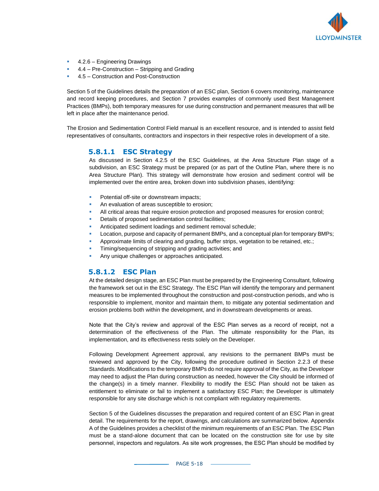

- 4.2.6 Engineering Drawings
- 4.4 Pre-Construction Stripping and Grading
- 4.5 Construction and Post-Construction

Section 5 of the Guidelines details the preparation of an ESC plan, Section 6 covers monitoring, maintenance and record keeping procedures, and Section 7 provides examples of commonly used Best Management Practices (BMPs), both temporary measures for use during construction and permanent measures that will be left in place after the maintenance period.

The Erosion and Sedimentation Control Field manual is an excellent resource, and is intended to assist field representatives of consultants, contractors and inspectors in their respective roles in development of a site.

#### **5.8.1.1 ESC Strategy**

As discussed in Section 4.2.5 of the ESC Guidelines, at the Area Structure Plan stage of a subdivision, an ESC Strategy must be prepared (or as part of the Outline Plan, where there is no Area Structure Plan). This strategy will demonstrate how erosion and sediment control will be implemented over the entire area, broken down into subdivision phases, identifying:

- Potential off-site or downstream impacts;
- An evaluation of areas susceptible to erosion;
- All critical areas that require erosion protection and proposed measures for erosion control;
- Details of proposed sedimentation control facilities;
- Anticipated sediment loadings and sediment removal schedule;
- Location, purpose and capacity of permanent BMPs, and a conceptual plan for temporary BMPs;
- Approximate limits of clearing and grading, buffer strips, vegetation to be retained, etc.;
- Timing/sequencing of stripping and grading activities; and
- Any unique challenges or approaches anticipated.

#### **5.8.1.2 ESC Plan**

At the detailed design stage, an ESC Plan must be prepared by the Engineering Consultant, following the framework set out in the ESC Strategy. The ESC Plan will identify the temporary and permanent measures to be implemented throughout the construction and post-construction periods, and who is responsible to implement, monitor and maintain them, to mitigate any potential sedimentation and erosion problems both within the development, and in downstream developments or areas.

Note that the City's review and approval of the ESC Plan serves as a record of receipt, not a determination of the effectiveness of the Plan. The ultimate responsibility for the Plan, its implementation, and its effectiveness rests solely on the Developer.

Following Development Agreement approval, any revisions to the permanent BMPs must be reviewed and approved by the City, following the procedure outlined in Section 2.2.3 of these Standards. Modifications to the temporary BMPs do not require approval of the City, as the Developer may need to adjust the Plan during construction as needed, however the City should be informed of the change(s) in a timely manner. Flexibility to modify the ESC Plan should not be taken as entitlement to eliminate or fail to implement a satisfactory ESC Plan; the Developer is ultimately responsible for any site discharge which is not compliant with regulatory requirements.

Section 5 of the Guidelines discusses the preparation and required content of an ESC Plan in great detail. The requirements for the report, drawings, and calculations are summarized below. Appendix A of the Guidelines provides a checklist of the minimum requirements of an ESC Plan. The ESC Plan must be a stand-alone document that can be located on the construction site for use by site personnel, inspectors and regulators. As site work progresses, the ESC Plan should be modified by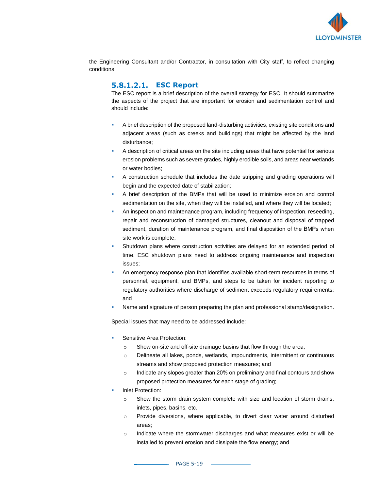

the Engineering Consultant and/or Contractor, in consultation with City staff, to reflect changing conditions.

#### $5.8.1.2.1.$ **ESC Report**

The ESC report is a brief description of the overall strategy for ESC. It should summarize the aspects of the project that are important for erosion and sedimentation control and should include:

- A brief description of the proposed land-disturbing activities, existing site conditions and adjacent areas (such as creeks and buildings) that might be affected by the land disturbance;
- A description of critical areas on the site including areas that have potential for serious erosion problems such as severe grades, highly erodible soils, and areas near wetlands or water bodies;
- A construction schedule that includes the date stripping and grading operations will begin and the expected date of stabilization;
- A brief description of the BMPs that will be used to minimize erosion and control sedimentation on the site, when they will be installed, and where they will be located;
- An inspection and maintenance program, including frequency of inspection, reseeding, repair and reconstruction of damaged structures, cleanout and disposal of trapped sediment, duration of maintenance program, and final disposition of the BMPs when site work is complete;
- Shutdown plans where construction activities are delayed for an extended period of time. ESC shutdown plans need to address ongoing maintenance and inspection issues;
- An emergency response plan that identifies available short-term resources in terms of personnel, equipment, and BMPs, and steps to be taken for incident reporting to regulatory authorities where discharge of sediment exceeds regulatory requirements; and
- Name and signature of person preparing the plan and professional stamp/designation.

Special issues that may need to be addressed include:

- Sensitive Area Protection:
	- o Show on-site and off-site drainage basins that flow through the area;
	- o Delineate all lakes, ponds, wetlands, impoundments, intermittent or continuous streams and show proposed protection measures; and
	- $\circ$  Indicate any slopes greater than 20% on preliminary and final contours and show proposed protection measures for each stage of grading;
- **Inlet Protection:** 
	- o Show the storm drain system complete with size and location of storm drains, inlets, pipes, basins, etc.;
	- o Provide diversions, where applicable, to divert clear water around disturbed areas;
	- $\circ$  Indicate where the stormwater discharges and what measures exist or will be installed to prevent erosion and dissipate the flow energy; and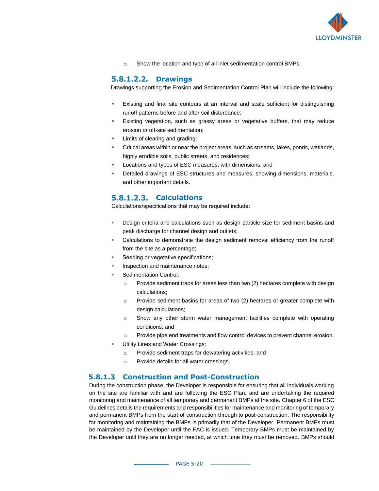

o Show the location and type of all inlet sedimentation control BMPs.

#### $5.8.1.2.2.$ **Drawings**

Drawings supporting the Erosion and Sedimentation Control Plan will include the following:

- Existing and final site contours at an interval and scale sufficient for distinguishing runoff patterns before and after soil disturbance;
- Existing vegetation, such as grassy areas or vegetative buffers, that may reduce erosion or off-site sedimentation;
- Limits of clearing and grading;
- Critical areas within or near the project areas, such as streams, lakes, ponds, wetlands, highly erodible soils, public streets, and residences;
- Locations and types of ESC measures, with dimensions; and
- Detailed drawings of ESC structures and measures, showing dimensions, materials, and other important details.

#### **Calculations**  $5.8.1.2.3.$

Calculations/specifications that may be required include:

- Design criteria and calculations such as design particle size for sediment basins and peak discharge for channel design and outlets;
- Calculations to demonstrate the design sediment removal efficiency from the runoff from the site as a percentage;
- Seeding or vegetative specifications;
- Inspection and maintenance notes;
- Sedimentation Control:
	- $\circ$  Provide sediment traps for areas less than two (2) hectares complete with design calculations;
	- $\circ$  Provide sediment basins for areas of two (2) hectares or greater complete with design calculations;
	- $\circ$  Show any other storm water management facilities complete with operating conditions; and
	- $\circ$  Provide pipe end treatments and flow control devices to prevent channel erosion.
- Utility Lines and Water Crossings:
	- o Provide sediment traps for dewatering activities; and
	- o Provide details for all water crossings.

#### **5.8.1.3 Construction and Post-Construction**

During the construction phase, the Developer is responsible for ensuring that all individuals working on the site are familiar with and are following the ESC Plan, and are undertaking the required monitoring and maintenance of all temporary and permanent BMPs at the site. Chapter 6 of the ESC Guidelines details the requirements and responsibilities for maintenance and monitoring of temporary and permanent BMPs from the start of construction through to post-construction. The responsibility for monitoring and maintaining the BMPs is primarily that of the Developer. Permanent BMPs must be maintained by the Developer until the FAC is issued. Temporary BMPs must be maintained by the Developer until they are no longer needed, at which time they must be removed. BMPs should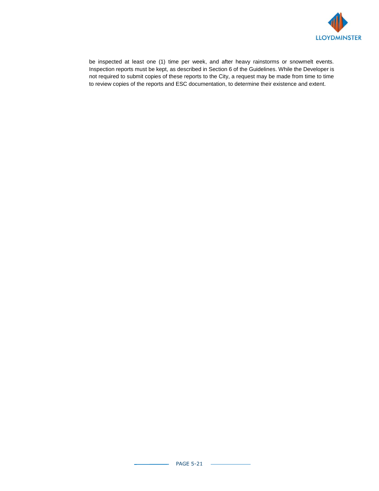

be inspected at least one (1) time per week, and after heavy rainstorms or snowmelt events. Inspection reports must be kept, as described in Section 6 of the Guidelines. While the Developer is not required to submit copies of these reports to the City, a request may be made from time to time to review copies of the reports and ESC documentation, to determine their existence and extent.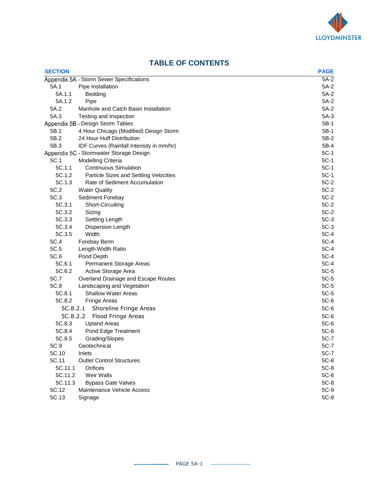

| <b>SECTION</b> |                                          | <b>PAGE</b> |
|----------------|------------------------------------------|-------------|
|                | Appendix 5A - Storm Sewer Specifications | $5A-2$      |
| 5A.1           | Pipe Installation                        | $5A-2$      |
| 5A.1.1         | Bedding                                  | $5A-2$      |
| 5A.1.2         | Pipe                                     | $5A-2$      |
| 5A.2           | Manhole and Catch Basin Installation     | $5A-2$      |
| 5A.3           | Testing and Inspection                   | $5A-3$      |
|                | Appendix 5B - Design Storm Tables        | 5B-1        |
| 5B.1           | 4 Hour Chicago (Modified) Design Storm   | 5B-1        |
| 5B.2           | 24 Hour Huff Distribution                | $5B-2$      |
| 5B.3           | IDF Curves (Rainfall Intensity in mm/hr) | 5B-4        |
|                | Appendix 5C - Stormwater Storage Design  | $5C-1$      |
| 5C.1           | Modelling Criteria                       | $5C-1$      |
| 5C.1.1         | <b>Continuous Simulation</b>             | $5C-1$      |
| 5C.1.2         | Particle Sizes and Settling Velocities   | $5C-1$      |
| 5C.1.3         | Rate of Sediment Accumulation            | $5C-2$      |
| 5C.2           | <b>Water Quality</b>                     | $5C-2$      |
| 5C.3           | Sediment Forebay                         | $5C-2$      |
| 5C.3.1         | Short-Circuiting                         | $5C-2$      |
| 5C.3.2         | Sizing                                   | $5C-2$      |
| 5C.3.3         | Settling Length                          | $5C-3$      |
| 5C.3.4         | <b>Dispersion Length</b>                 | $5C-3$      |
| 5C.3.5         | Width                                    | $5C-4$      |
| 5C.4           | Forebay Berm                             | $5C-4$      |
| 5C.5           | Length: Width Ratio                      | $5C-4$      |
| 5C.6           | Pond Depth                               | $5C-4$      |
| 5C.6.1         | Permanent Storage Areas                  | $5C-4$      |
| 5C.6.2         | Active Storage Area                      | $5C-5$      |
| 5C.7           | Overland Drainage and Escape Routes      | $5C-5$      |
| 5C.8           | Landscaping and Vegetation               | $5C-5$      |
| 5C.8.1         | <b>Shallow Water Areas</b>               | $5C-5$      |
| 5C.8.2         | <b>Fringe Areas</b>                      | $5C-6$      |
|                | 5C.8.2.1<br>Shoreline Fringe Areas       | $5C-6$      |
| 5C.8.2.2       | Flood Fringe Areas                       | $5C-6$      |
| 5C.8.3         | <b>Upland Areas</b>                      | $5C-6$      |
| 5C.8.4         | Pond Edge Treatment                      | $5C-6$      |
| 5C.8.5         | Grading/Slopes                           | $5C-7$      |
| 5C.9           | Geotechnical                             | $5C-7$      |
| 5C.10          | Inlets                                   | 5C-7        |
| 5C.11          | <b>Outlet Control Structures</b>         | $5C-8$      |
| 5C.11.1        | Orifices                                 | $5C-8$      |
| 5C.11.2        | Weir Walls                               | $5C-8$      |
| 5C.11.3        | <b>Bypass Gate Valves</b>                | $5C-8$      |
| 5C.12          | Maintenance Vehicle Access               | 5C-9        |
| 5C.13          | Signage                                  | 5C-9        |

# **TABLE OF CONTENTS**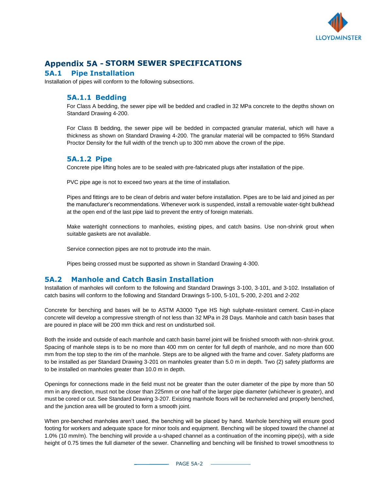

# **Appendix 5A - STORM SEWER SPECIFICATIONS**

#### **5A.1 Pipe Installation**

Installation of pipes will conform to the following subsections.

## **5A.1.1 Bedding**

For Class A bedding, the sewer pipe will be bedded and cradled in 32 MPa concrete to the depths shown on Standard Drawing 4-200.

For Class B bedding, the sewer pipe will be bedded in compacted granular material, which will have a thickness as shown on Standard Drawing 4-200. The granular material will be compacted to 95% Standard Proctor Density for the full width of the trench up to 300 mm above the crown of the pipe.

#### **5A.1.2 Pipe**

Concrete pipe lifting holes are to be sealed with pre-fabricated plugs after installation of the pipe.

PVC pipe age is not to exceed two years at the time of installation.

Pipes and fittings are to be clean of debris and water before installation. Pipes are to be laid and joined as per the manufacturer's recommendations. Whenever work is suspended, install a removable water-tight bulkhead at the open end of the last pipe laid to prevent the entry of foreign materials.

Make watertight connections to manholes, existing pipes, and catch basins. Use non-shrink grout when suitable gaskets are not available.

Service connection pipes are not to protrude into the main.

Pipes being crossed must be supported as shown in Standard Drawing 4-300.

## **5A.2 Manhole and Catch Basin Installation**

Installation of manholes will conform to the following and Standard Drawings 3-100, 3-101, and 3-102. Installation of catch basins will conform to the following and Standard Drawings 5-100, 5-101, 5-200, 2-201 and 2-202

Concrete for benching and bases will be to ASTM A3000 Type HS high sulphate-resistant cement. Cast-in-place concrete will develop a compressive strength of not less than 32 MPa in 28 Days. Manhole and catch basin bases that are poured in place will be 200 mm thick and rest on undisturbed soil.

Both the inside and outside of each manhole and catch basin barrel joint will be finished smooth with non-shrink grout. Spacing of manhole steps is to be no more than 400 mm on center for full depth of manhole, and no more than 600 mm from the top step to the rim of the manhole. Steps are to be aligned with the frame and cover. Safety platforms are to be installed as per Standard Drawing 3-201 on manholes greater than 5.0 m in depth. Two (2) safety platforms are to be installed on manholes greater than 10.0 m in depth.

Openings for connections made in the field must not be greater than the outer diameter of the pipe by more than 50 mm in any direction, must not be closer than 225mm or one half of the larger pipe diameter (whichever is greater), and must be cored or cut. See Standard Drawing 3-207. Existing manhole floors will be rechanneled and properly benched, and the junction area will be grouted to form a smooth joint.

When pre-benched manholes aren't used, the benching will be placed by hand. Manhole benching will ensure good footing for workers and adequate space for minor tools and equipment. Benching will be sloped toward the channel at 1.0% (10 mm/m). The benching will provide a u-shaped channel as a continuation of the incoming pipe(s), with a side height of 0.75 times the full diameter of the sewer. Channelling and benching will be finished to trowel smoothness to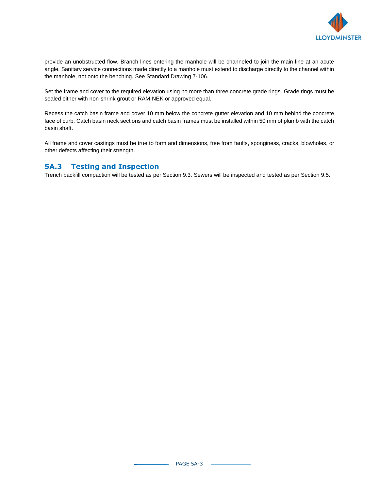

provide an unobstructed flow. Branch lines entering the manhole will be channeled to join the main line at an acute angle. Sanitary service connections made directly to a manhole must extend to discharge directly to the channel within the manhole, not onto the benching. See Standard Drawing 7-106.

Set the frame and cover to the required elevation using no more than three concrete grade rings. Grade rings must be sealed either with non-shrink grout or RAM-NEK or approved equal.

Recess the catch basin frame and cover 10 mm below the concrete gutter elevation and 10 mm behind the concrete face of curb. Catch basin neck sections and catch basin frames must be installed within 50 mm of plumb with the catch basin shaft.

All frame and cover castings must be true to form and dimensions, free from faults, sponginess, cracks, blowholes, or other defects affecting their strength.

#### **5A.3 Testing and Inspection**

Trench backfill compaction will be tested as per Section 9.3. Sewers will be inspected and tested as per Section 9.5.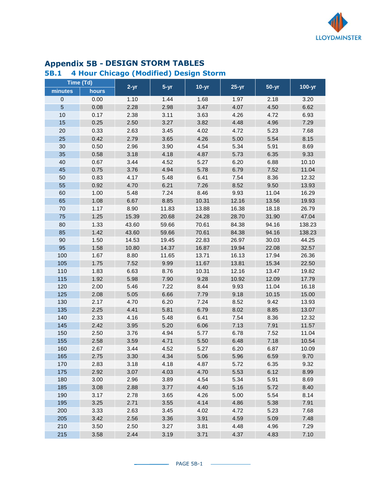

# **Appendix 5B - DESIGN STORM TABLES**

# **5B.1 4 Hour Chicago (Modified) Design Storm**

|                | Time (Td) |          |          |         |         |           |            |
|----------------|-----------|----------|----------|---------|---------|-----------|------------|
| minutes        | hours     | $2 - yr$ | $5 - yr$ | $10-yr$ | $25-yr$ | $50 - yr$ | $100 - yr$ |
| $\pmb{0}$      | 0.00      | 1.10     | 1.44     | 1.68    | 1.97    | 2.18      | 3.20       |
| $\overline{5}$ | 0.08      | 2.28     | 2.98     | 3.47    | 4.07    | 4.50      | 6.62       |
| 10             | 0.17      | 2.38     | 3.11     | 3.63    | 4.26    | 4.72      | 6.93       |
| 15             | 0.25      | 2.50     | 3.27     | 3.82    | 4.48    | 4.96      | 7.29       |
| 20             | 0.33      | 2.63     | 3.45     | 4.02    | 4.72    | 5.23      | 7.68       |
| 25             | 0.42      | 2.79     | 3.65     | 4.26    | 5.00    | 5.54      | 8.15       |
| $30\,$         | 0.50      | 2.96     | 3.90     | 4.54    | 5.34    | 5.91      | 8.69       |
| 35             | 0.58      | 3.18     | 4.18     | 4.87    | 5.73    | 6.35      | 9.33       |
| 40             | 0.67      | 3.44     | 4.52     | 5.27    | 6.20    | 6.88      | 10.10      |
| 45             | 0.75      | 3.76     | 4.94     | 5.78    | 6.79    | 7.52      | 11.04      |
| 50             | 0.83      | 4.17     | 5.48     | 6.41    | 7.54    | 8.36      | 12.32      |
| 55             | 0.92      | 4.70     | 6.21     | 7.26    | 8.52    | 9.50      | 13.93      |
| 60             | 1.00      | 5.48     | 7.24     | 8.46    | 9.93    | 11.04     | 16.29      |
| 65             | 1.08      | 6.67     | 8.85     | 10.31   | 12.16   | 13.56     | 19.93      |
| 70             | 1.17      | 8.90     | 11.83    | 13.88   | 16.38   | 18.18     | 26.79      |
| 75             | 1.25      | 15.39    | 20.68    | 24.28   | 28.70   | 31.90     | 47.04      |
| 80             | 1.33      | 43.60    | 59.66    | 70.61   | 84.38   | 94.16     | 138.23     |
| 85             | 1.42      | 43.60    | 59.66    | 70.61   | 84.38   | 94.16     | 138.23     |
| 90             | 1.50      | 14.53    | 19.45    | 22.83   | 26.97   | 30.03     | 44.25      |
| 95             | 1.58      | 10.80    | 14.37    | 16.87   | 19.94   | 22.08     | 32.57      |
| 100            | 1.67      | 8.80     | 11.65    | 13.71   | 16.13   | 17.94     | 26.36      |
| 105            | 1.75      | 7.52     | 9.99     | 11.67   | 13.81   | 15.34     | 22.50      |
| 110            | 1.83      | 6.63     | 8.76     | 10.31   | 12.16   | 13.47     | 19.82      |
| 115            | 1.92      | 5.98     | 7.90     | 9.28    | 10.92   | 12.09     | 17.79      |
| 120            | 2.00      | 5.46     | 7.22     | 8.44    | 9.93    | 11.04     | 16.18      |
| 125            | 2.08      | 5.05     | 6.66     | 7.79    | 9.18    | 10.15     | 15.00      |
| 130            | 2.17      | 4.70     | 6.20     | 7.24    | 8.52    | 9.42      | 13.93      |
| 135            | 2.25      | 4.41     | 5.81     | 6.79    | 8.02    | 8.85      | 13.07      |
| 140            | 2.33      | 4.16     | 5.48     | 6.41    | 7.54    | 8.36      | 12.32      |
| 145            | 2.42      | 3.95     | 5.20     | 6.06    | 7.13    | 7.91      | 11.57      |
| 150            | 2.50      | 3.76     | 4.94     | 5.77    | 6.78    | 7.52      | 11.04      |
| 155            | 2.58      | 3.59     | 4.71     | 5.50    | 6.48    | 7.18      | 10.54      |
| 160            | 2.67      | 3.44     | 4.52     | 5.27    | 6.20    | 6.87      | 10.09      |
| 165            | 2.75      | 3.30     | 4.34     | 5.06    | 5.96    | 6.59      | 9.70       |
| 170            | 2.83      | 3.18     | 4.18     | 4.87    | 5.72    | 6.35      | 9.32       |
| 175            | 2.92      | 3.07     | 4.03     | 4.70    | 5.53    | 6.12      | 8.99       |
| 180            | 3.00      | 2.96     | 3.89     | 4.54    | 5.34    | 5.91      | 8.69       |
| 185            | 3.08      | 2.88     | 3.77     | 4.40    | 5.16    | 5.72      | 8.40       |
| 190            | 3.17      | 2.78     | 3.65     | 4.26    | 5.00    | 5.54      | 8.14       |
| 195            | 3.25      | 2.71     | 3.55     | 4.14    | 4.86    | 5.38      | 7.91       |
| 200            | 3.33      | 2.63     | 3.45     | 4.02    | 4.72    | 5.23      | 7.68       |
| 205            | 3.42      | 2.56     | 3.36     | 3.91    | 4.59    | 5.09      | 7.48       |
| 210            | 3.50      | 2.50     | 3.27     | 3.81    | 4.48    | 4.96      | 7.29       |
| 215            | 3.58      | 2.44     | 3.19     | 3.71    | 4.37    | 4.83      | 7.10       |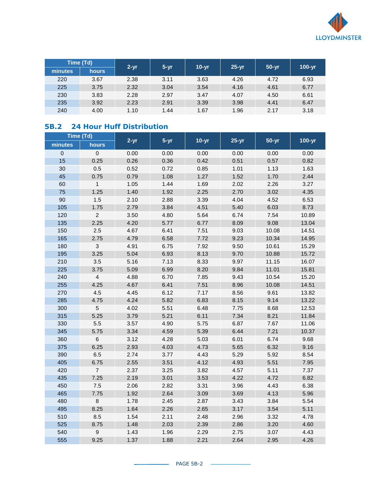

|         | Time (Td)    | $2 - yr$<br>$5 - yr$ |      | $10-vr$ | $25-yr$ | $50-yr$ | $100-yr$ |
|---------|--------------|----------------------|------|---------|---------|---------|----------|
| minutes | <b>hours</b> |                      |      |         |         |         |          |
| 220     | 3.67         | 2.38                 | 3.11 | 3.63    | 4.26    | 4.72    | 6.93     |
| 225     | 3.75         | 2.32                 | 3.04 | 3.54    | 4.16    | 4.61    | 6.77     |
| 230     | 3.83         | 2.28                 | 2.97 | 3.47    | 4.07    | 4.50    | 6.61     |
| 235     | 3.92         | 2.23                 | 2.91 | 3.39    | 3.98    | 4.41    | 6.47     |
| 240     | 4.00         | 1.10                 | 1.44 | 1.67    | 1.96    | 2.17    | 3.18     |

# **5B.2 24 Hour Huff Distribution**

|             | Time (Td)        |          |          |         |         |         |        |
|-------------|------------------|----------|----------|---------|---------|---------|--------|
| minutes     | hours            | $2 - yr$ | $5 - yr$ | $10-yr$ | $25-yr$ | $50-yr$ | 100-yr |
| $\mathbf 0$ | $\mathbf 0$      | 0.00     | 0.00     | 0.00    | 0.00    | 0.00    | 0.00   |
| 15          | 0.25             | 0.26     | 0.36     | 0.42    | 0.51    | 0.57    | 0.82   |
| 30          | 0.5              | 0.52     | 0.72     | 0.85    | 1.01    | 1.13    | 1.63   |
| 45          | 0.75             | 0.79     | 1.08     | 1.27    | 1.52    | 1.70    | 2.44   |
| 60          | $\mathbf{1}$     | 1.05     | 1.44     | 1.69    | 2.02    | 2.26    | 3.27   |
| 75          | 1.25             | 1.40     | 1.92     | 2.25    | 2.70    | 3.02    | 4.35   |
| 90          | 1.5              | 2.10     | 2.88     | 3.39    | 4.04    | 4.52    | 6.53   |
| 105         | 1.75             | 2.79     | 3.84     | 4.51    | 5.40    | 6.03    | 8.73   |
| 120         | $\boldsymbol{2}$ | 3.50     | 4.80     | 5.64    | 6.74    | 7.54    | 10.89  |
| 135         | 2.25             | 4.20     | 5.77     | 6.77    | 8.09    | 9.08    | 13.04  |
| 150         | 2.5              | 4.67     | 6.41     | 7.51    | 9.03    | 10.08   | 14.51  |
| 165         | 2.75             | 4.79     | 6.58     | 7.72    | 9.23    | 10.34   | 14.95  |
| 180         | 3                | 4.91     | 6.75     | 7.92    | 9.50    | 10.61   | 15.29  |
| 195         | 3.25             | 5.04     | 6.93     | 8.13    | 9.70    | 10.88   | 15.72  |
| 210         | 3.5              | 5.16     | 7.13     | 8.33    | 9.97    | 11.15   | 16.07  |
| 225         | 3.75             | 5.09     | 6.99     | 8.20    | 9.84    | 11.01   | 15.81  |
| 240         | $\overline{4}$   | 4.88     | 6.70     | 7.85    | 9.43    | 10.54   | 15.20  |
| 255         | 4.25             | 4.67     | 6.41     | 7.51    | 8.96    | 10.08   | 14.51  |
| 270         | 4.5              | 4.45     | 6.12     | 7.17    | 8.56    | 9.61    | 13.82  |
| 285         | 4.75             | 4.24     | 5.82     | 6.83    | 8.15    | 9.14    | 13.22  |
| 300         | $\sqrt{5}$       | 4.02     | 5.51     | 6.48    | 7.75    | 8.68    | 12.53  |
| 315         | 5.25             | 3.79     | 5.21     | 6.11    | 7.34    | 8.21    | 11.84  |
| 330         | 5.5              | 3.57     | 4.90     | 5.75    | 6.87    | 7.67    | 11.06  |
| 345         | 5.75             | 3.34     | 4.59     | 5.39    | 6.44    | 7.21    | 10.37  |
| 360         | $\,6$            | 3.12     | 4.28     | 5.03    | 6.01    | 6.74    | 9.68   |
| 375         | 6.25             | 2.93     | 4.03     | 4.73    | 5.65    | 6.32    | 9.16   |
| 390         | 6.5              | 2.74     | 3.77     | 4.43    | 5.29    | 5.92    | 8.54   |
| 405         | 6.75             | 2.55     | 3.51     | 4.12    | 4.93    | 5.51    | 7.95   |
| 420         | $\overline{7}$   | 2.37     | 3.25     | 3.82    | 4.57    | 5.11    | 7.37   |
| 435         | 7.25             | 2.19     | 3.01     | 3.53    | 4.22    | 4.72    | 6.82   |
| 450         | $7.5\,$          | 2.06     | 2.82     | 3.31    | 3.96    | 4.43    | 6.38   |
| 465         | 7.75             | 1.92     | 2.64     | 3.09    | 3.69    | 4.13    | 5.96   |
| 480         | 8                | 1.78     | 2.45     | 2.87    | 3.43    | 3.84    | 5.54   |
| 495         | 8.25             | 1.64     | 2.26     | 2.65    | 3.17    | 3.54    | 5.11   |
| 510         | 8.5              | 1.54     | 2.11     | 2.48    | 2.96    | 3.32    | 4.78   |
| 525         | 8.75             | 1.48     | 2.03     | 2.39    | 2.86    | 3.20    | 4.60   |
| 540         | $\boldsymbol{9}$ | 1.43     | 1.96     | 2.29    | 2.75    | 3.07    | 4.43   |
| 555         | 9.25             | 1.37     | 1.88     | 2.21    | 2.64    | 2.95    | 4.26   |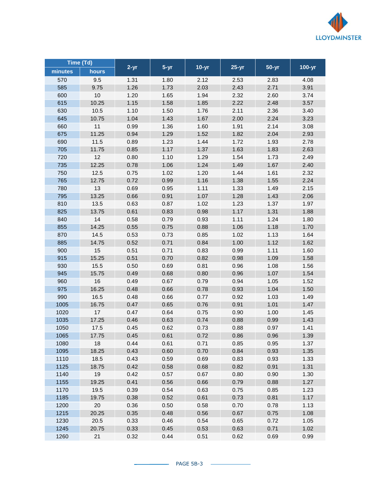

| Time (Td) |       |          |        |         |         |         |        |
|-----------|-------|----------|--------|---------|---------|---------|--------|
| minutes   | hours | $2 - yr$ | $5-yr$ | $10-yr$ | $25-yr$ | $50-yr$ | 100-yr |
| 570       | 9.5   | 1.31     | 1.80   | 2.12    | 2.53    | 2.83    | 4.08   |
| 585       | 9.75  | 1.26     | 1.73   | 2.03    | 2.43    | 2.71    | 3.91   |
| 600       | 10    | 1.20     | 1.65   | 1.94    | 2.32    | 2.60    | 3.74   |
| 615       | 10.25 | 1.15     | 1.58   | 1.85    | 2.22    | 2.48    | 3.57   |
| 630       | 10.5  | 1.10     | 1.50   | 1.76    | 2.11    | 2.36    | 3.40   |
| 645       | 10.75 | 1.04     | 1.43   | 1.67    | 2.00    | 2.24    | 3.23   |
| 660       | 11    | 0.99     | 1.36   | 1.60    | 1.91    | 2.14    | 3.08   |
| 675       | 11.25 | 0.94     | 1.29   | 1.52    | 1.82    | 2.04    | 2.93   |
| 690       | 11.5  | 0.89     | 1.23   | 1.44    | 1.72    | 1.93    | 2.78   |
| 705       | 11.75 | 0.85     | 1.17   | 1.37    | 1.63    | 1.83    | 2.63   |
| 720       | 12    | 0.80     | 1.10   | 1.29    | 1.54    | 1.73    | 2.49   |
| 735       | 12.25 | 0.78     | 1.06   | 1.24    | 1.49    | 1.67    | 2.40   |
| 750       | 12.5  | 0.75     | 1.02   | 1.20    | 1.44    | 1.61    | 2.32   |
| 765       | 12.75 | 0.72     | 0.99   | 1.16    | 1.38    | 1.55    | 2.24   |
| 780       | 13    | 0.69     | 0.95   | 1.11    | 1.33    | 1.49    | 2.15   |
| 795       | 13.25 | 0.66     | 0.91   | 1.07    | 1.28    | 1.43    | 2.06   |
| 810       | 13.5  | 0.63     | 0.87   | 1.02    | 1.23    | 1.37    | 1.97   |
| 825       | 13.75 | 0.61     | 0.83   | 0.98    | 1.17    | 1.31    | 1.88   |
| 840       | 14    | 0.58     | 0.79   | 0.93    | 1.11    | 1.24    | 1.80   |
| 855       | 14.25 | 0.55     | 0.75   | 0.88    | 1.06    | 1.18    | 1.70   |
| 870       | 14.5  | 0.53     | 0.73   | 0.85    | 1.02    | 1.13    | 1.64   |
| 885       | 14.75 | 0.52     | 0.71   | 0.84    | 1.00    | 1.12    | 1.62   |
| 900       | 15    | 0.51     | 0.71   | 0.83    | 0.99    | 1.11    | 1.60   |
| 915       | 15.25 | 0.51     | 0.70   | 0.82    | 0.98    | 1.09    | 1.58   |
| 930       | 15.5  | 0.50     | 0.69   | 0.81    | 0.96    | 1.08    | 1.56   |
| 945       | 15.75 | 0.49     | 0.68   | 0.80    | 0.96    | 1.07    | 1.54   |
| 960       | 16    | 0.49     | 0.67   | 0.79    | 0.94    | 1.05    | 1.52   |
| 975       | 16.25 | 0.48     | 0.66   | 0.78    | 0.93    | 1.04    | 1.50   |
| 990       | 16.5  | 0.48     | 0.66   | 0.77    | 0.92    | 1.03    | 1.49   |
| 1005      | 16.75 | 0.47     | 0.65   | 0.76    | 0.91    | 1.01    | 1.47   |
| 1020      | 17    | 0.47     | 0.64   | 0.75    | 0.90    | 1.00    | 1.45   |
| 1035      | 17.25 | 0.46     | 0.63   | 0.74    | 0.88    | 0.99    | 1.43   |
| 1050      | 17.5  | 0.45     | 0.62   | 0.73    | 0.88    | 0.97    | 1.41   |
| 1065      | 17.75 | 0.45     | 0.61   | 0.72    | 0.86    | 0.96    | 1.39   |
| 1080      | 18    | 0.44     | 0.61   | 0.71    | 0.85    | 0.95    | 1.37   |
| 1095      | 18.25 | 0.43     | 0.60   | 0.70    | 0.84    | 0.93    | 1.35   |
| 1110      | 18.5  | 0.43     | 0.59   | 0.69    | 0.83    | 0.93    | 1.33   |
| 1125      | 18.75 | 0.42     | 0.58   | 0.68    | 0.82    | 0.91    | 1.31   |
| 1140      | 19    | 0.42     | 0.57   | 0.67    | 0.80    | 0.90    | 1.30   |
| 1155      | 19.25 | 0.41     | 0.56   | 0.66    | 0.79    | 0.88    | 1.27   |
| 1170      | 19.5  | 0.39     | 0.54   | 0.63    | 0.75    | 0.85    | 1.23   |
| 1185      | 19.75 | 0.38     | 0.52   | 0.61    | 0.73    | 0.81    | 1.17   |
| 1200      | 20    | 0.36     | 0.50   | 0.58    | 0.70    | 0.78    | 1.13   |
| 1215      | 20.25 | 0.35     | 0.48   | 0.56    | 0.67    | 0.75    | 1.08   |
| 1230      | 20.5  | 0.33     | 0.46   | 0.54    | 0.65    | 0.72    | 1.05   |
| 1245      | 20.75 | 0.33     | 0.45   | 0.53    | 0.63    | 0.71    | 1.02   |
| 1260      | 21    | 0.32     | 0.44   | 0.51    | 0.62    | 0.69    | 0.99   |
|           |       |          |        |         |         |         |        |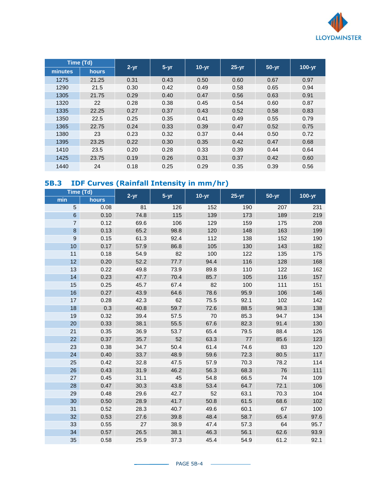

|         | Time (Td) | $2 - yr$<br>$5 - yr$ |      |         |         |         |        |
|---------|-----------|----------------------|------|---------|---------|---------|--------|
| minutes | hours     |                      |      | $10-yr$ | $25-yr$ | $50-yr$ | 100-yr |
| 1275    | 21.25     | 0.31                 | 0.43 | 0.50    | 0.60    | 0.67    | 0.97   |
| 1290    | 21.5      | 0.30                 | 0.42 | 0.49    | 0.58    | 0.65    | 0.94   |
| 1305    | 21.75     | 0.29                 | 0.40 | 0.47    | 0.56    | 0.63    | 0.91   |
| 1320    | 22        | 0.28                 | 0.38 | 0.45    | 0.54    | 0.60    | 0.87   |
| 1335    | 22.25     | 0.27                 | 0.37 | 0.43    | 0.52    | 0.58    | 0.83   |
| 1350    | 22.5      | 0.25                 | 0.35 | 0.41    | 0.49    | 0.55    | 0.79   |
| 1365    | 22.75     | 0.24                 | 0.33 | 0.39    | 0.47    | 0.52    | 0.75   |
| 1380    | 23        | 0.23                 | 0.32 | 0.37    | 0.44    | 0.50    | 0.72   |
| 1395    | 23.25     | 0.22                 | 0.30 | 0.35    | 0.42    | 0.47    | 0.68   |
| 1410    | 23.5      | 0.20                 | 0.28 | 0.33    | 0.39    | 0.44    | 0.64   |
| 1425    | 23.75     | 0.19                 | 0.26 | 0.31    | 0.37    | 0.42    | 0.60   |
| 1440    | 24        | 0.18                 | 0.25 | 0.29    | 0.35    | 0.39    | 0.56   |

# **5B.3 IDF Curves (Rainfall Intensity in mm/hr)**

| Time (Td)        |       | $2 - yr$ | $5 - yr$ | $10-yr$ | $25-yr$ | $50-yr$ | 100-yr |
|------------------|-------|----------|----------|---------|---------|---------|--------|
| min              | hours |          |          |         |         |         |        |
| 5                | 0.08  | 81       | 126      | 152     | 190     | 207     | 231    |
| $\,6\,$          | 0.10  | 74.8     | 115      | 139     | 173     | 189     | 219    |
| $\overline{7}$   | 0.12  | 69.6     | 106      | 129     | 159     | 175     | 208    |
| $\bf 8$          | 0.13  | 65.2     | 98.8     | 120     | 148     | 163     | 199    |
| $\boldsymbol{9}$ | 0.15  | 61.3     | 92.4     | 112     | 138     | 152     | 190    |
| 10               | 0.17  | 57.9     | 86.8     | 105     | 130     | 143     | 182    |
| 11               | 0.18  | 54.9     | 82       | 100     | 122     | 135     | 175    |
| 12               | 0.20  | 52.2     | 77.7     | 94.4    | 116     | 128     | 168    |
| 13               | 0.22  | 49.8     | 73.9     | 89.8    | 110     | 122     | 162    |
| 14               | 0.23  | 47.7     | 70.4     | 85.7    | 105     | 116     | 157    |
| 15               | 0.25  | 45.7     | 67.4     | 82      | 100     | 111     | 151    |
| 16               | 0.27  | 43.9     | 64.6     | 78.6    | 95.9    | 106     | 146    |
| 17               | 0.28  | 42.3     | 62       | 75.5    | 92.1    | 102     | 142    |
| 18               | 0.3   | 40.8     | 59.7     | 72.6    | 88.5    | 98.3    | 138    |
| 19               | 0.32  | 39.4     | 57.5     | 70      | 85.3    | 94.7    | 134    |
| 20               | 0.33  | 38.1     | 55.5     | 67.6    | 82.3    | 91.4    | 130    |
| 21               | 0.35  | 36.9     | 53.7     | 65.4    | 79.5    | 88.4    | 126    |
| 22               | 0.37  | 35.7     | 52       | 63.3    | 77      | 85.6    | 123    |
| 23               | 0.38  | 34.7     | 50.4     | 61.4    | 74.6    | 83      | 120    |
| 24               | 0.40  | 33.7     | 48.9     | 59.6    | 72.3    | 80.5    | 117    |
| 25               | 0.42  | 32.8     | 47.5     | 57.9    | 70.3    | 78.2    | 114    |
| 26               | 0.43  | 31.9     | 46.2     | 56.3    | 68.3    | 76      | 111    |
| 27               | 0.45  | 31.1     | 45       | 54.8    | 66.5    | 74      | 109    |
| 28               | 0.47  | 30.3     | 43.8     | 53.4    | 64.7    | 72.1    | 106    |
| 29               | 0.48  | 29.6     | 42.7     | 52      | 63.1    | 70.3    | 104    |
| 30               | 0.50  | 28.9     | 41.7     | 50.8    | 61.5    | 68.6    | 102    |
| 31               | 0.52  | 28.3     | 40.7     | 49.6    | 60.1    | 67      | 100    |
| 32               | 0.53  | 27.6     | 39.8     | 48.4    | 58.7    | 65.4    | 97.6   |
| 33               | 0.55  | 27       | 38.9     | 47.4    | 57.3    | 64      | 95.7   |
| 34               | 0.57  | 26.5     | 38.1     | 46.3    | 56.1    | 62.6    | 93.9   |
| 35               | 0.58  | 25.9     | 37.3     | 45.4    | 54.9    | 61.2    | 92.1   |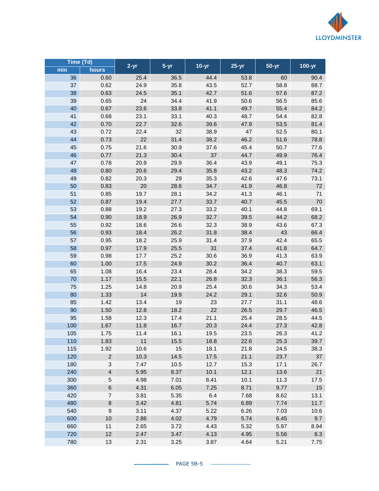

| Time (Td) |                           |          |          |         |         |           |        |
|-----------|---------------------------|----------|----------|---------|---------|-----------|--------|
| min       | hours                     | $2 - yr$ | $5 - yr$ | $10-yr$ | $25-yr$ | $50 - yr$ | 100-yr |
| 36        | 0.60                      | 25.4     | 36.5     | 44.4    | 53.8    | 60        | 90.4   |
| 37        | 0.62                      | 24.9     | 35.8     | 43.5    | 52.7    | 58.8      | 88.7   |
| 38        | 0.63                      | 24.5     | 35.1     | 42.7    | 51.6    | 57.6      | 87.2   |
| 39        | 0.65                      | 24       | 34.4     | 41.9    | 50.6    | 56.5      | 85.6   |
| 40        | 0.67                      | 23.6     | 33.8     | 41.1    | 49.7    | 55.4      | 84.2   |
| 41        | 0.68                      | 23.1     | 33.1     | 40.3    | 48.7    | 54.4      | 82.8   |
| 42        | 0.70                      | 22.7     | 32.6     | 39.6    | 47.9    | 53.5      | 81.4   |
| 43        | 0.72                      | 22.4     | 32       | 38.9    | 47      | 52.5      | 80.1   |
| 44        | 0.73                      | 22       | 31.4     | 38.2    | 46.2    | 51.6      | 78.8   |
| 45        | 0.75                      | 21.6     | 30.9     | 37.6    | 45.4    | 50.7      | 77.6   |
| 46        | 0.77                      | 21.3     | 30.4     | 37      | 44.7    | 49.9      | 76.4   |
| 47        | 0.78                      | 20.9     | 29.9     | 36.4    | 43.9    | 49.1      | 75.3   |
| 48        | 0.80                      | 20.6     | 29.4     | 35.8    | 43.2    | 48.3      | 74.2   |
| 49        | 0.82                      | 20.3     | 29       | 35.3    | 42.6    | 47.6      | 73.1   |
| 50        | 0.83                      | 20       | 28.6     | 34.7    | 41.9    | 46.8      | 72     |
| 51        | 0.85                      | 19.7     | 28.1     | 34.2    | 41.3    | 46.1      | 71     |
| 52        | 0.87                      | 19.4     | 27.7     | 33.7    | 40.7    | 45.5      | 70     |
| 53        | 0.88                      | 19.2     | 27.3     | 33.2    | 40.1    | 44.8      | 69.1   |
| 54        | 0.90                      | 18.9     | 26.9     | 32.7    | 39.5    | 44.2      | 68.2   |
| 55        | 0.92                      | 18.6     | 26.6     | 32.3    | 38.9    | 43.6      | 67.3   |
| 56        | 0.93                      | 18.4     | 26.2     | 31.8    | 38.4    | 43        | 66.4   |
| 57        | 0.95                      | 18.2     | 25.9     | 31.4    | 37.9    | 42.4      | 65.5   |
| 58        | 0.97                      | 17.9     | 25.5     | 31      | 37.4    | 41.8      | 64.7   |
| 59        | 0.98                      | 17.7     | 25.2     | 30.6    | 36.9    | 41.3      | 63.9   |
| 60        | 1.00                      | 17.5     | 24.9     | 30.2    | 36.4    | 40.7      | 63.1   |
| 65        | 1.08                      | 16.4     | 23.4     | 28.4    | 34.2    | 38.3      | 59.5   |
| 70        | 1.17                      | 15.5     | 22.1     | 26.8    | 32.3    | 36.1      | 56.3   |
| 75        | 1.25                      | 14.8     | 20.9     | 25.4    | 30.6    | 34.3      | 53.4   |
| 80        | 1.33                      | 14       | 19.9     | 24.2    | 29.1    | 32.6      | 50.9   |
| 85        | 1.42                      | 13.4     | 19       | 23      | 27.7    | 31.1      | 48.6   |
| 90        | 1.50                      | 12.8     | 18.2     | 22      | 26.5    | 29.7      | 46.5   |
| 95        | 1.58                      | 12.3     | 17.4     | 21.1    | 25.4    | 28.5      | 44.5   |
| 100       | 1.67                      | 11.8     | 16.7     | 20.3    | 24.4    | 27.3      | 42.8   |
| 105       | 1.75                      | 11.4     | 16.1     | 19.5    | 23.5    | 26.3      | 41.2   |
| 110       | 1.83                      | 11       | 15.5     | 18.8    | 22.6    | 25.3      | 39.7   |
| 115       | 1.92                      | 10.6     | 15       | 18.1    | 21.8    | 24.5      | 38.3   |
| 120       | $\sqrt{2}$                | 10.3     | 14.5     | 17.5    | 21.1    | 23.7      | 37     |
| 180       | $\ensuremath{\mathsf{3}}$ | 7.47     | 10.5     | 12.7    | 15.3    | 17.1      | 26.7   |
| 240       | $\overline{4}$            | 5.95     | 8.37     | 10.1    | 12.1    | 13.6      | 21     |
| 300       | $\sqrt{5}$                | 4.98     | 7.01     | 8.41    | 10.1    | 11.3      | 17.5   |
| 360       | $\,$ 6 $\,$               | 4.31     | 6.05     | 7.25    | 8.71    | 9.77      | 15     |
| 420       | $\overline{7}$            | 3.81     | 5.35     | 6.4     | 7.68    | 8.62      | 13.1   |
| 480       | $\bf8$                    | 3.42     | 4.81     | 5.74    | 6.89    | 7.74      | 11.7   |
| 540       | $\boldsymbol{9}$          | 3.11     | 4.37     | 5.22    | 6.26    | 7.03      | 10.6   |
| 600       | 10                        | 2.86     | 4.02     | 4.79    | 5.74    | 6.45      | 9.7    |
| 660       | 11                        | 2.65     | 3.72     | 4.43    | 5.32    | 5.97      | 8.94   |
| 720       | 12                        | 2.47     | 3.47     | 4.13    | 4.95    | 5.56      | 8.3    |
| 780       | 13                        | 2.31     | 3.25     | 3.87    | 4.64    | 5.21      | 7.75   |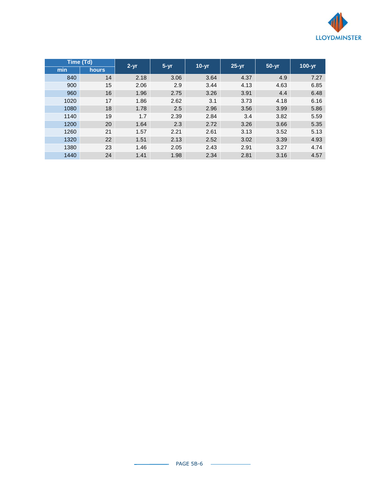

| Time (Td) |              |          | $10-vr$  |      | $50 - yr$ |      |            |
|-----------|--------------|----------|----------|------|-----------|------|------------|
| min       | <b>hours</b> | $2 - yr$ | $5 - yr$ |      | $25-yr$   |      | $100 - yr$ |
| 840       | 14           | 2.18     | 3.06     | 3.64 | 4.37      | 4.9  | 7.27       |
| 900       | 15           | 2.06     | 2.9      | 3.44 | 4.13      | 4.63 | 6.85       |
| 960       | 16           | 1.96     | 2.75     | 3.26 | 3.91      | 4.4  | 6.48       |
| 1020      | 17           | 1.86     | 2.62     | 3.1  | 3.73      | 4.18 | 6.16       |
| 1080      | 18           | 1.78     | 2.5      | 2.96 | 3.56      | 3.99 | 5.86       |
| 1140      | 19           | 1.7      | 2.39     | 2.84 | 3.4       | 3.82 | 5.59       |
| 1200      | 20           | 1.64     | 2.3      | 2.72 | 3.26      | 3.66 | 5.35       |
| 1260      | 21           | 1.57     | 2.21     | 2.61 | 3.13      | 3.52 | 5.13       |
| 1320      | 22           | 1.51     | 2.13     | 2.52 | 3.02      | 3.39 | 4.93       |
| 1380      | 23           | 1.46     | 2.05     | 2.43 | 2.91      | 3.27 | 4.74       |
| 1440      | 24           | 1.41     | 1.98     | 2.34 | 2.81      | 3.16 | 4.57       |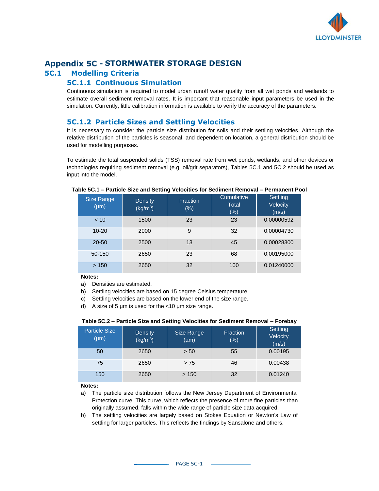

# **Appendix 5C - STORMWATER STORAGE DESIGN**

## **5C.1 Modelling Criteria**

#### **5C.1.1 Continuous Simulation**

Continuous simulation is required to model urban runoff water quality from all wet ponds and wetlands to estimate overall sediment removal rates. It is important that reasonable input parameters be used in the simulation. Currently, little calibration information is available to verify the accuracy of the parameters.

#### **5C.1.2 Particle Sizes and Settling Velocities**

It is necessary to consider the particle size distribution for soils and their settling velocities. Although the relative distribution of the particles is seasonal, and dependent on location, a general distribution should be used for modelling purposes.

To estimate the total suspended solids (TSS) removal rate from wet ponds, wetlands, and other devices or technologies requiring sediment removal (e.g. oil/grit separators), Tables 5C.1 and 5C.2 should be used as input into the model.

| Size Range<br>$(\mu m)$ | <b>Density</b><br>(kg/m <sup>3</sup> ) | <b>Fraction</b><br>(% ) | Cumulative<br><b>Total</b><br>$(\% )$ | Settling<br>Velocity<br>(m/s) |
|-------------------------|----------------------------------------|-------------------------|---------------------------------------|-------------------------------|
| < 10                    | 1500                                   | 23                      | 23                                    | 0.00000592                    |
| $10 - 20$               | 2000                                   | 9                       | 32                                    | 0.00004730                    |
| $20 - 50$               | 2500                                   | 13                      | 45                                    | 0.00028300                    |
| 50-150                  | 2650                                   | 23                      | 68                                    | 0.00195000                    |
| >150                    | 2650                                   | 32                      | 100                                   | 0.01240000                    |

#### **Table 5C.1 – Particle Size and Setting Velocities for Sediment Removal – Permanent Pool**

**Notes:**

- a) Densities are estimated.
- b) Settling velocities are based on 15 degree Celsius temperature.
- c) Settling velocities are based on the lower end of the size range.
- d) A size of 5  $\mu$ m is used for the <10  $\mu$ m size range.

#### **Table 5C.2 – Particle Size and Setting Velocities for Sediment Removal – Forebay**

| <b>Particle Size</b><br>$(\mu m)$ | <b>Density</b><br>(kg/m <sup>3</sup> ) | Size Range<br>$(\mu m)$ | Fraction<br>(%) | Settling<br>Velocity<br>(m/s) |
|-----------------------------------|----------------------------------------|-------------------------|-----------------|-------------------------------|
| 50                                | 2650                                   | > 50                    | 55              | 0.00195                       |
| 75                                | 2650                                   | > 75                    | 46              | 0.00438                       |
| 150                               | 2650                                   | >150                    | 32              | 0.01240                       |

**Notes:**

- a) The particle size distribution follows the New Jersey Department of Environmental Protection curve. This curve, which reflects the presence of more fine particles than originally assumed, falls within the wide range of particle size data acquired.
- b) The settling velocities are largely based on Stokes Equation or Newton's Law of settling for larger particles. This reflects the findings by Sansalone and others.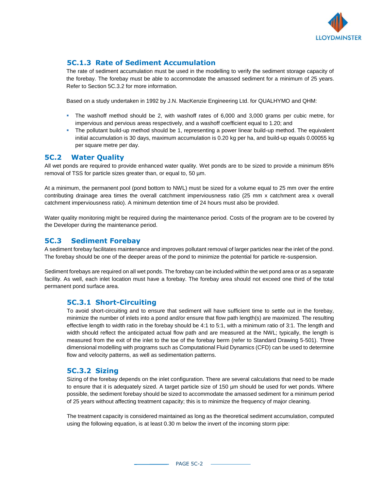

#### **5C.1.3 Rate of Sediment Accumulation**

The rate of sediment accumulation must be used in the modelling to verify the sediment storage capacity of the forebay. The forebay must be able to accommodate the amassed sediment for a minimum of 25 years. Refer to Section 5C.3.2 for more information.

Based on a study undertaken in 1992 by J.N. MacKenzie Engineering Ltd. for QUALHYMO and QHM:

- **.** The washoff method should be 2, with washoff rates of 6,000 and 3,000 grams per cubic metre, for impervious and pervious areas respectively, and a washoff coefficient equal to 1.20; and
- The pollutant build-up method should be 1, representing a power linear build-up method. The equivalent initial accumulation is 30 days, maximum accumulation is 0.20 kg per ha, and build-up equals 0.00055 kg per square metre per day.

#### **5C.2 Water Quality**

All wet ponds are required to provide enhanced water quality. Wet ponds are to be sized to provide a minimum 85% removal of TSS for particle sizes greater than, or equal to, 50  $\mu$ m.

At a minimum, the permanent pool (pond bottom to NWL) must be sized for a volume equal to 25 mm over the entire contributing drainage area times the overall catchment imperviousness ratio (25 mm x catchment area x overall catchment imperviousness ratio). A minimum detention time of 24 hours must also be provided.

Water quality monitoring might be required during the maintenance period. Costs of the program are to be covered by the Developer during the maintenance period.

#### **5C.3 Sediment Forebay**

A sediment forebay facilitates maintenance and improves pollutant removal of larger particles near the inlet of the pond. The forebay should be one of the deeper areas of the pond to minimize the potential for particle re-suspension.

Sediment forebays are required on all wet ponds. The forebay can be included within the wet pond area or as a separate facility. As well, each inlet location must have a forebay. The forebay area should not exceed one third of the total permanent pond surface area.

#### **5C.3.1 Short-Circuiting**

To avoid short-circuiting and to ensure that sediment will have sufficient time to settle out in the forebay, minimize the number of inlets into a pond and/or ensure that flow path length(s) are maximized. The resulting effective length to width ratio in the forebay should be 4:1 to 5:1, with a minimum ratio of 3:1. The length and width should reflect the anticipated actual flow path and are measured at the NWL; typically, the length is measured from the exit of the inlet to the toe of the forebay berm (refer to Standard Drawing 5-501). Three dimensional modelling with programs such as Computational Fluid Dynamics (CFD) can be used to determine flow and velocity patterns, as well as sedimentation patterns.

#### **5C.3.2 Sizing**

Sizing of the forebay depends on the inlet configuration. There are several calculations that need to be made to ensure that it is adequately sized. A target particle size of 150 µm should be used for wet ponds. Where possible, the sediment forebay should be sized to accommodate the amassed sediment for a minimum period of 25 years without affecting treatment capacity; this is to minimize the frequency of major cleaning.

The treatment capacity is considered maintained as long as the theoretical sediment accumulation, computed using the following equation, is at least 0.30 m below the invert of the incoming storm pipe: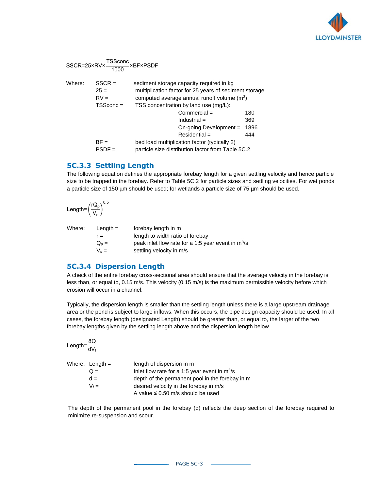

| Where: | $SSCR =$<br>$25 =$<br>$RV =$<br>$TSScone =$ | sediment storage capacity required in kg<br>multiplication factor for 25 years of sediment storage<br>computed average annual runoff volume $(m^3)$<br>TSS concentration by land use (mg/L): |                           |
|--------|---------------------------------------------|----------------------------------------------------------------------------------------------------------------------------------------------------------------------------------------------|---------------------------|
|        |                                             | $Commercial =$<br>$Industrial =$<br>On-going Development =<br>$Residential =$                                                                                                                | 180<br>369<br>1896<br>444 |
|        | $BF =$<br>$PSDF =$                          | bed load multiplication factor (typically 2)<br>particle size distribution factor from Table 5C.2                                                                                            |                           |

## **5C.3.3 Settling Length**

The following equation defines the appropriate forebay length for a given settling velocity and hence particle size to be trapped in the forebay. Refer to Table 5C.2 for particle sizes and settling velocities. For wet ponds a particle size of 150 µm should be used; for wetlands a particle size of 75 µm should be used.

$$
\text{Length=}\left(\frac{rQ_p}{V_s}\right)^{0.5}
$$

Where: Length = forebay length in m  $r =$  length to width ratio of forebay  $Q_p =$  peak inlet flow rate for a 1:5 year event in m<sup>3</sup>/s  $V_s =$  settling velocity in m/s

#### **5C.3.4 Dispersion Length**

A check of the entire forebay cross-sectional area should ensure that the average velocity in the forebay is less than, or equal to, 0.15 m/s. This velocity (0.15 m/s) is the maximum permissible velocity before which erosion will occur in a channel.

Typically, the dispersion length is smaller than the settling length unless there is a large upstream drainage area or the pond is subject to large inflows. When this occurs, the pipe design capacity should be used. In all cases, the forebay length (designated Length) should be greater than, or equal to, the larger of the two forebay lengths given by the settling length above and the dispersion length below.

| Length= $\frac{8Q}{dV_f}$ |                                                 |
|---------------------------|-------------------------------------------------|
| Where: Length $=$         | length of dispersion in m                       |
| $Q =$                     | Inlet flow rate for a 1:5 year event in $m^3/s$ |
| $d =$                     | depth of the permanent pool in the forebay in m |
| $V_f =$                   | desired velocity in the forebay in m/s          |
|                           | A value $\leq$ 0.50 m/s should be used          |

The depth of the permanent pool in the forebay (d) reflects the deep section of the forebay required to minimize re-suspension and scour.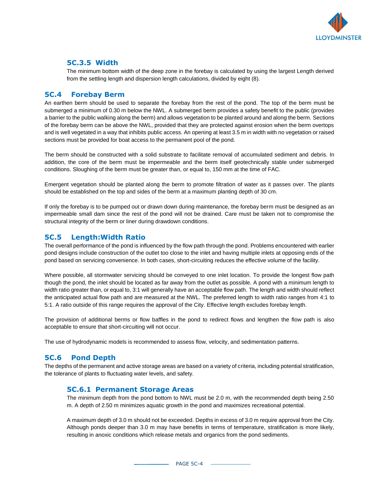

#### **5C.3.5 Width**

The minimum bottom width of the deep zone in the forebay is calculated by using the largest Length derived from the settling length and dispersion length calculations, divided by eight (8).

#### **5C.4 Forebay Berm**

An earthen berm should be used to separate the forebay from the rest of the pond. The top of the berm must be submerged a minimum of 0.30 m below the NWL. A submerged berm provides a safety benefit to the public (provides a barrier to the public walking along the berm) and allows vegetation to be planted around and along the berm. Sections of the forebay berm can be above the NWL, provided that they are protected against erosion when the berm overtops and is well vegetated in a way that inhibits public access. An opening at least 3.5 m in width with no vegetation or raised sections must be provided for boat access to the permanent pool of the pond.

The berm should be constructed with a solid substrate to facilitate removal of accumulated sediment and debris. In addition, the core of the berm must be impermeable and the berm itself geotechnically stable under submerged conditions. Sloughing of the berm must be greater than, or equal to, 150 mm at the time of FAC.

Emergent vegetation should be planted along the berm to promote filtration of water as it passes over. The plants should be established on the top and sides of the berm at a maximum planting depth of 30 cm.

If only the forebay is to be pumped out or drawn down during maintenance, the forebay berm must be designed as an impermeable small dam since the rest of the pond will not be drained. Care must be taken not to compromise the structural integrity of the berm or liner during drawdown conditions.

#### **5C.5 Length:Width Ratio**

The overall performance of the pond is influenced by the flow path through the pond. Problems encountered with earlier pond designs include construction of the outlet too close to the inlet and having multiple inlets at opposing ends of the pond based on servicing convenience. In both cases, short-circuiting reduces the effective volume of the facility.

Where possible, all stormwater servicing should be conveyed to one inlet location. To provide the longest flow path though the pond, the inlet should be located as far away from the outlet as possible. A pond with a minimum length to width ratio greater than, or equal to, 3:1 will generally have an acceptable flow path. The length and width should reflect the anticipated actual flow path and are measured at the NWL. The preferred length to width ratio ranges from 4:1 to 5:1. A ratio outside of this range requires the approval of the City. Effective length excludes forebay length.

The provision of additional berms or flow baffles in the pond to redirect flows and lengthen the flow path is also acceptable to ensure that short-circuiting will not occur.

The use of hydrodynamic models is recommended to assess flow, velocity, and sedimentation patterns.

#### **5C.6 Pond Depth**

The depths of the permanent and active storage areas are based on a variety of criteria, including potential stratification, the tolerance of plants to fluctuating water levels, and safety.

#### **5C.6.1 Permanent Storage Areas**

The minimum depth from the pond bottom to NWL must be 2.0 m, with the recommended depth being 2.50 m. A depth of 2.50 m minimizes aquatic growth in the pond and maximizes recreational potential.

A maximum depth of 3.0 m should not be exceeded. Depths in excess of 3.0 m require approval from the City. Although ponds deeper than 3.0 m may have benefits in terms of temperature, stratification is more likely, resulting in anoxic conditions which release metals and organics from the pond sediments.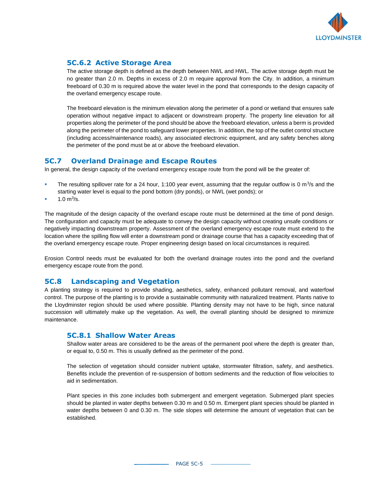

#### **5C.6.2 Active Storage Area**

The active storage depth is defined as the depth between NWL and HWL. The active storage depth must be no greater than 2.0 m. Depths in excess of 2.0 m require approval from the City. In addition, a minimum freeboard of 0.30 m is required above the water level in the pond that corresponds to the design capacity of the overland emergency escape route.

The freeboard elevation is the minimum elevation along the perimeter of a pond or wetland that ensures safe operation without negative impact to adjacent or downstream property. The property line elevation for all properties along the perimeter of the pond should be above the freeboard elevation, unless a berm is provided along the perimeter of the pond to safeguard lower properties. In addition, the top of the outlet control structure (including access/maintenance roads), any associated electronic equipment, and any safety benches along the perimeter of the pond must be at or above the freeboard elevation.

#### **5C.7 Overland Drainage and Escape Routes**

In general, the design capacity of the overland emergency escape route from the pond will be the greater of:

- **The resulting spillover rate for a 24 hour, 1:100 year event, assuming that the regular outflow is 0 m<sup>3</sup>/s and the** starting water level is equal to the pond bottom (dry ponds), or NWL (wet ponds); or
- $\blacksquare$  1.0 m<sup>3</sup>/s.

The magnitude of the design capacity of the overland escape route must be determined at the time of pond design. The configuration and capacity must be adequate to convey the design capacity without creating unsafe conditions or negatively impacting downstream property. Assessment of the overland emergency escape route must extend to the location where the spilling flow will enter a downstream pond or drainage course that has a capacity exceeding that of the overland emergency escape route. Proper engineering design based on local circumstances is required.

Erosion Control needs must be evaluated for both the overland drainage routes into the pond and the overland emergency escape route from the pond.

## **5C.8 Landscaping and Vegetation**

A planting strategy is required to provide shading, aesthetics, safety, enhanced pollutant removal, and waterfowl control. The purpose of the planting is to provide a sustainable community with naturalized treatment. Plants native to the Lloydminster region should be used where possible. Planting density may not have to be high, since natural succession will ultimately make up the vegetation. As well, the overall planting should be designed to minimize maintenance.

#### **5C.8.1 Shallow Water Areas**

Shallow water areas are considered to be the areas of the permanent pool where the depth is greater than, or equal to, 0.50 m. This is usually defined as the perimeter of the pond.

The selection of vegetation should consider nutrient uptake, stormwater filtration, safety, and aesthetics. Benefits include the prevention of re-suspension of bottom sediments and the reduction of flow velocities to aid in sedimentation.

Plant species in this zone includes both submergent and emergent vegetation. Submerged plant species should be planted in water depths between 0.30 m and 0.50 m. Emergent plant species should be planted in water depths between 0 and 0.30 m. The side slopes will determine the amount of vegetation that can be established.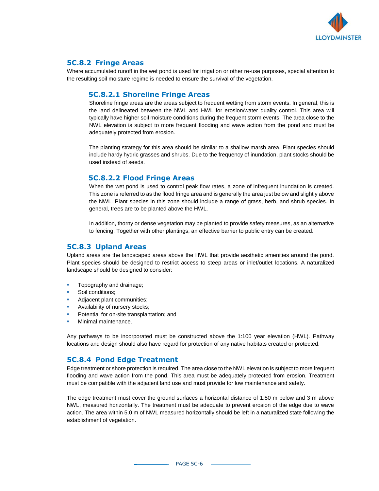

#### **5C.8.2 Fringe Areas**

Where accumulated runoff in the wet pond is used for irrigation or other re-use purposes, special attention to the resulting soil moisture regime is needed to ensure the survival of the vegetation.

#### **5C.8.2.1 Shoreline Fringe Areas**

Shoreline fringe areas are the areas subject to frequent wetting from storm events. In general, this is the land delineated between the NWL and HWL for erosion/water quality control. This area will typically have higher soil moisture conditions during the frequent storm events. The area close to the NWL elevation is subject to more frequent flooding and wave action from the pond and must be adequately protected from erosion.

The planting strategy for this area should be similar to a shallow marsh area. Plant species should include hardy hydric grasses and shrubs. Due to the frequency of inundation, plant stocks should be used instead of seeds.

#### **5C.8.2.2 Flood Fringe Areas**

When the wet pond is used to control peak flow rates, a zone of infrequent inundation is created. This zone is referred to as the flood fringe area and is generally the area just below and slightly above the NWL. Plant species in this zone should include a range of grass, herb, and shrub species. In general, trees are to be planted above the HWL.

In addition, thorny or dense vegetation may be planted to provide safety measures, as an alternative to fencing. Together with other plantings, an effective barrier to public entry can be created.

#### **5C.8.3 Upland Areas**

Upland areas are the landscaped areas above the HWL that provide aesthetic amenities around the pond. Plant species should be designed to restrict access to steep areas or inlet/outlet locations. A naturalized landscape should be designed to consider:

- Topography and drainage;
- Soil conditions;
- Adjacent plant communities;
- Availability of nursery stocks;
- Potential for on-site transplantation; and
- Minimal maintenance.

Any pathways to be incorporated must be constructed above the 1:100 year elevation (HWL). Pathway locations and design should also have regard for protection of any native habitats created or protected.

#### **5C.8.4 Pond Edge Treatment**

Edge treatment or shore protection is required. The area close to the NWL elevation is subject to more frequent flooding and wave action from the pond. This area must be adequately protected from erosion. Treatment must be compatible with the adjacent land use and must provide for low maintenance and safety.

The edge treatment must cover the ground surfaces a horizontal distance of 1.50 m below and 3 m above NWL, measured horizontally. The treatment must be adequate to prevent erosion of the edge due to wave action. The area within 5.0 m of NWL measured horizontally should be left in a naturalized state following the establishment of vegetation.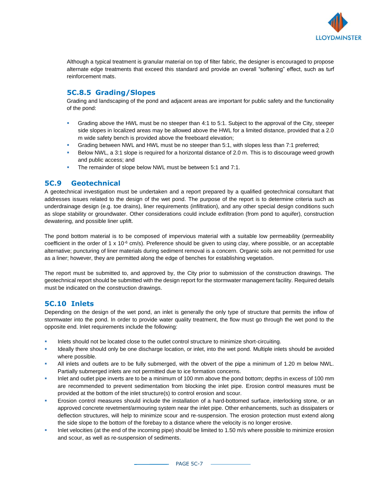

Although a typical treatment is granular material on top of filter fabric, the designer is encouraged to propose alternate edge treatments that exceed this standard and provide an overall "softening" effect, such as turf reinforcement mats.

## **5C.8.5 Grading/Slopes**

Grading and landscaping of the pond and adjacent areas are important for public safety and the functionality of the pond:

- Grading above the HWL must be no steeper than 4:1 to 5:1. Subject to the approval of the City, steeper side slopes in localized areas may be allowed above the HWL for a limited distance, provided that a 2.0 m wide safety bench is provided above the freeboard elevation;
- Grading between NWL and HWL must be no steeper than 5:1, with slopes less than 7:1 preferred;
- Below NWL, a 3:1 slope is required for a horizontal distance of 2.0 m. This is to discourage weed growth and public access; and
- The remainder of slope below NWL must be between 5:1 and 7:1.

#### **5C.9 Geotechnical**

A geotechnical investigation must be undertaken and a report prepared by a qualified geotechnical consultant that addresses issues related to the design of the wet pond. The purpose of the report is to determine criteria such as underdrainage design (e.g. toe drains), liner requirements (infiltration), and any other special design conditions such as slope stability or groundwater. Other considerations could include exfiltration (from pond to aquifer), construction dewatering, and possible liner uplift.

The pond bottom material is to be composed of impervious material with a suitable low permeability (permeability coefficient in the order of 1 x 10 $\textdegree$  cm/s). Preference should be given to using clay, where possible, or an acceptable alternative; puncturing of liner materials during sediment removal is a concern. Organic soils are not permitted for use as a liner; however, they are permitted along the edge of benches for establishing vegetation.

The report must be submitted to, and approved by, the City prior to submission of the construction drawings. The geotechnical report should be submitted with the design report for the stormwater management facility. Required details must be indicated on the construction drawings.

#### **5C.10 Inlets**

Depending on the design of the wet pond, an inlet is generally the only type of structure that permits the inflow of stormwater into the pond. In order to provide water quality treatment, the flow must go through the wet pond to the opposite end. Inlet requirements include the following:

- Inlets should not be located close to the outlet control structure to minimize short-circuiting.
- Ideally there should only be one discharge location, or inlet, into the wet pond. Multiple inlets should be avoided where possible.
- All inlets and outlets are to be fully submerged, with the obvert of the pipe a minimum of 1.20 m below NWL. Partially submerged inlets are not permitted due to ice formation concerns.
- Inlet and outlet pipe inverts are to be a minimum of 100 mm above the pond bottom; depths in excess of 100 mm are recommended to prevent sedimentation from blocking the inlet pipe. Erosion control measures must be provided at the bottom of the inlet structure(s) to control erosion and scour.
- Erosion control measures should include the installation of a hard-bottomed surface, interlocking stone, or an approved concrete revetment/armouring system near the inlet pipe. Other enhancements, such as dissipaters or deflection structures, will help to minimize scour and re-suspension. The erosion protection must extend along the side slope to the bottom of the forebay to a distance where the velocity is no longer erosive.
- Inlet velocities (at the end of the incoming pipe) should be limited to 1.50 m/s where possible to minimize erosion and scour, as well as re-suspension of sediments.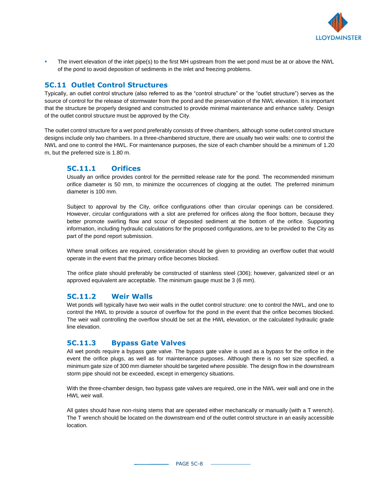

The invert elevation of the inlet pipe(s) to the first MH upstream from the wet pond must be at or above the NWL of the pond to avoid deposition of sediments in the inlet and freezing problems.

#### **5C.11 Outlet Control Structures**

Typically, an outlet control structure (also referred to as the "control structure" or the "outlet structure") serves as the source of control for the release of stormwater from the pond and the preservation of the NWL elevation. It is important that the structure be properly designed and constructed to provide minimal maintenance and enhance safety. Design of the outlet control structure must be approved by the City.

The outlet control structure for a wet pond preferably consists of three chambers, although some outlet control structure designs include only two chambers. In a three-chambered structure, there are usually two weir walls: one to control the NWL and one to control the HWL. For maintenance purposes, the size of each chamber should be a minimum of 1.20 m, but the preferred size is 1.80 m.

#### **5C.11.1 Orifices**

Usually an orifice provides control for the permitted release rate for the pond. The recommended minimum orifice diameter is 50 mm, to minimize the occurrences of clogging at the outlet. The preferred minimum diameter is 100 mm.

Subject to approval by the City, orifice configurations other than circular openings can be considered. However, circular configurations with a slot are preferred for orifices along the floor bottom, because they better promote swirling flow and scour of deposited sediment at the bottom of the orifice. Supporting information, including hydraulic calculations for the proposed configurations, are to be provided to the City as part of the pond report submission.

Where small orifices are required, consideration should be given to providing an overflow outlet that would operate in the event that the primary orifice becomes blocked.

The orifice plate should preferably be constructed of stainless steel (306); however, galvanized steel or an approved equivalent are acceptable. The minimum gauge must be 3 (6 mm).

#### **5C.11.2 Weir Walls**

Wet ponds will typically have two weir walls in the outlet control structure: one to control the NWL, and one to control the HWL to provide a source of overflow for the pond in the event that the orifice becomes blocked. The weir wall controlling the overflow should be set at the HWL elevation, or the calculated hydraulic grade line elevation.

#### **5C.11.3 Bypass Gate Valves**

All wet ponds require a bypass gate valve. The bypass gate valve is used as a bypass for the orifice in the event the orifice plugs, as well as for maintenance purposes. Although there is no set size specified, a minimum gate size of 300 mm diameter should be targeted where possible. The design flow in the downstream storm pipe should not be exceeded, except in emergency situations.

With the three-chamber design, two bypass gate valves are required, one in the NWL weir wall and one in the HWL weir wall.

All gates should have non-rising stems that are operated either mechanically or manually (with a T wrench). The T wrench should be located on the downstream end of the outlet control structure in an easily accessible location.